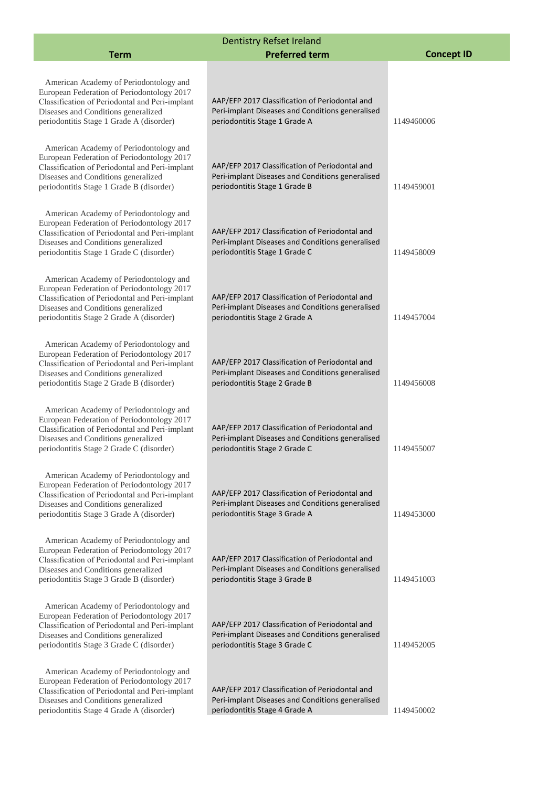| <b>Dentistry Refset Ireland</b>                                                                                                                                                                                           |                                                                                                                                     |                   |  |
|---------------------------------------------------------------------------------------------------------------------------------------------------------------------------------------------------------------------------|-------------------------------------------------------------------------------------------------------------------------------------|-------------------|--|
| <b>Term</b>                                                                                                                                                                                                               | <b>Preferred term</b>                                                                                                               | <b>Concept ID</b> |  |
| American Academy of Periodontology and<br>European Federation of Periodontology 2017<br>Classification of Periodontal and Peri-implant<br>Diseases and Conditions generalized<br>periodontitis Stage 1 Grade A (disorder) | AAP/EFP 2017 Classification of Periodontal and<br>Peri-implant Diseases and Conditions generalised<br>periodontitis Stage 1 Grade A | 1149460006        |  |
| American Academy of Periodontology and<br>European Federation of Periodontology 2017<br>Classification of Periodontal and Peri-implant<br>Diseases and Conditions generalized<br>periodontitis Stage 1 Grade B (disorder) | AAP/EFP 2017 Classification of Periodontal and<br>Peri-implant Diseases and Conditions generalised<br>periodontitis Stage 1 Grade B | 1149459001        |  |
| American Academy of Periodontology and<br>European Federation of Periodontology 2017<br>Classification of Periodontal and Peri-implant<br>Diseases and Conditions generalized<br>periodontitis Stage 1 Grade C (disorder) | AAP/EFP 2017 Classification of Periodontal and<br>Peri-implant Diseases and Conditions generalised<br>periodontitis Stage 1 Grade C | 1149458009        |  |
| American Academy of Periodontology and<br>European Federation of Periodontology 2017<br>Classification of Periodontal and Peri-implant<br>Diseases and Conditions generalized<br>periodontitis Stage 2 Grade A (disorder) | AAP/EFP 2017 Classification of Periodontal and<br>Peri-implant Diseases and Conditions generalised<br>periodontitis Stage 2 Grade A | 1149457004        |  |
| American Academy of Periodontology and<br>European Federation of Periodontology 2017<br>Classification of Periodontal and Peri-implant<br>Diseases and Conditions generalized<br>periodontitis Stage 2 Grade B (disorder) | AAP/EFP 2017 Classification of Periodontal and<br>Peri-implant Diseases and Conditions generalised<br>periodontitis Stage 2 Grade B | 1149456008        |  |
| American Academy of Periodontology and<br>European Federation of Periodontology 2017<br>Classification of Periodontal and Peri-implant<br>Diseases and Conditions generalized<br>periodontitis Stage 2 Grade C (disorder) | AAP/EFP 2017 Classification of Periodontal and<br>Peri-implant Diseases and Conditions generalised<br>periodontitis Stage 2 Grade C | 1149455007        |  |
| American Academy of Periodontology and<br>European Federation of Periodontology 2017<br>Classification of Periodontal and Peri-implant<br>Diseases and Conditions generalized<br>periodontitis Stage 3 Grade A (disorder) | AAP/EFP 2017 Classification of Periodontal and<br>Peri-implant Diseases and Conditions generalised<br>periodontitis Stage 3 Grade A | 1149453000        |  |
| American Academy of Periodontology and<br>European Federation of Periodontology 2017<br>Classification of Periodontal and Peri-implant<br>Diseases and Conditions generalized<br>periodontitis Stage 3 Grade B (disorder) | AAP/EFP 2017 Classification of Periodontal and<br>Peri-implant Diseases and Conditions generalised<br>periodontitis Stage 3 Grade B | 1149451003        |  |
| American Academy of Periodontology and<br>European Federation of Periodontology 2017<br>Classification of Periodontal and Peri-implant<br>Diseases and Conditions generalized<br>periodontitis Stage 3 Grade C (disorder) | AAP/EFP 2017 Classification of Periodontal and<br>Peri-implant Diseases and Conditions generalised<br>periodontitis Stage 3 Grade C | 1149452005        |  |
| American Academy of Periodontology and<br>European Federation of Periodontology 2017<br>Classification of Periodontal and Peri-implant<br>Diseases and Conditions generalized<br>periodontitis Stage 4 Grade A (disorder) | AAP/EFP 2017 Classification of Periodontal and<br>Peri-implant Diseases and Conditions generalised<br>periodontitis Stage 4 Grade A | 1149450002        |  |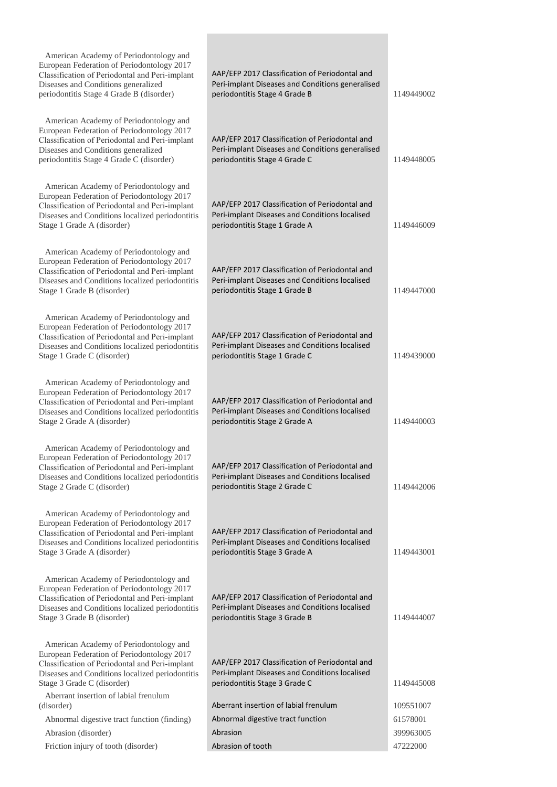| American Academy of Periodontology and<br>European Federation of Periodontology 2017<br>Classification of Periodontal and Peri-implant<br>Diseases and Conditions generalized<br>periodontitis Stage 4 Grade B (disorder) | AAP/EFP 2017 Classification of Periodontal and<br>Peri-implant Diseases and Conditions generalised<br>periodontitis Stage 4 Grade B | 1149449002 |
|---------------------------------------------------------------------------------------------------------------------------------------------------------------------------------------------------------------------------|-------------------------------------------------------------------------------------------------------------------------------------|------------|
| American Academy of Periodontology and<br>European Federation of Periodontology 2017<br>Classification of Periodontal and Peri-implant<br>Diseases and Conditions generalized<br>periodontitis Stage 4 Grade C (disorder) | AAP/EFP 2017 Classification of Periodontal and<br>Peri-implant Diseases and Conditions generalised<br>periodontitis Stage 4 Grade C | 1149448005 |
| American Academy of Periodontology and<br>European Federation of Periodontology 2017<br>Classification of Periodontal and Peri-implant<br>Diseases and Conditions localized periodontitis<br>Stage 1 Grade A (disorder)   | AAP/EFP 2017 Classification of Periodontal and<br>Peri-implant Diseases and Conditions localised<br>periodontitis Stage 1 Grade A   | 1149446009 |
| American Academy of Periodontology and<br>European Federation of Periodontology 2017<br>Classification of Periodontal and Peri-implant<br>Diseases and Conditions localized periodontitis<br>Stage 1 Grade B (disorder)   | AAP/EFP 2017 Classification of Periodontal and<br>Peri-implant Diseases and Conditions localised<br>periodontitis Stage 1 Grade B   | 1149447000 |
| American Academy of Periodontology and<br>European Federation of Periodontology 2017<br>Classification of Periodontal and Peri-implant<br>Diseases and Conditions localized periodontitis<br>Stage 1 Grade C (disorder)   | AAP/EFP 2017 Classification of Periodontal and<br>Peri-implant Diseases and Conditions localised<br>periodontitis Stage 1 Grade C   | 1149439000 |
| American Academy of Periodontology and<br>European Federation of Periodontology 2017<br>Classification of Periodontal and Peri-implant<br>Diseases and Conditions localized periodontitis<br>Stage 2 Grade A (disorder)   | AAP/EFP 2017 Classification of Periodontal and<br>Peri-implant Diseases and Conditions localised<br>periodontitis Stage 2 Grade A   | 1149440003 |
| American Academy of Periodontology and<br>European Federation of Periodontology 2017<br>Classification of Periodontal and Peri-implant<br>Diseases and Conditions localized periodontitis<br>Stage 2 Grade C (disorder)   | AAP/EFP 2017 Classification of Periodontal and<br>Peri-implant Diseases and Conditions localised<br>periodontitis Stage 2 Grade C   | 1149442006 |
| American Academy of Periodontology and<br>European Federation of Periodontology 2017<br>Classification of Periodontal and Peri-implant<br>Diseases and Conditions localized periodontitis<br>Stage 3 Grade A (disorder)   | AAP/EFP 2017 Classification of Periodontal and<br>Peri-implant Diseases and Conditions localised<br>periodontitis Stage 3 Grade A   | 1149443001 |
| American Academy of Periodontology and<br>European Federation of Periodontology 2017<br>Classification of Periodontal and Peri-implant<br>Diseases and Conditions localized periodontitis<br>Stage 3 Grade B (disorder)   | AAP/EFP 2017 Classification of Periodontal and<br>Peri-implant Diseases and Conditions localised<br>periodontitis Stage 3 Grade B   | 1149444007 |
| American Academy of Periodontology and<br>European Federation of Periodontology 2017<br>Classification of Periodontal and Peri-implant<br>Diseases and Conditions localized periodontitis<br>Stage 3 Grade C (disorder)   | AAP/EFP 2017 Classification of Periodontal and<br>Peri-implant Diseases and Conditions localised<br>periodontitis Stage 3 Grade C   | 1149445008 |
| Aberrant insertion of labial frenulum<br>(disorder)                                                                                                                                                                       | Aberrant insertion of labial frenulum                                                                                               | 109551007  |
| Abnormal digestive tract function (finding)                                                                                                                                                                               | Abnormal digestive tract function                                                                                                   | 61578001   |
| Abrasion (disorder)                                                                                                                                                                                                       | Abrasion                                                                                                                            | 399963005  |
| Friction injury of tooth (disorder)                                                                                                                                                                                       | Abrasion of tooth                                                                                                                   | 47222000   |
|                                                                                                                                                                                                                           |                                                                                                                                     |            |

the control of the control of the control of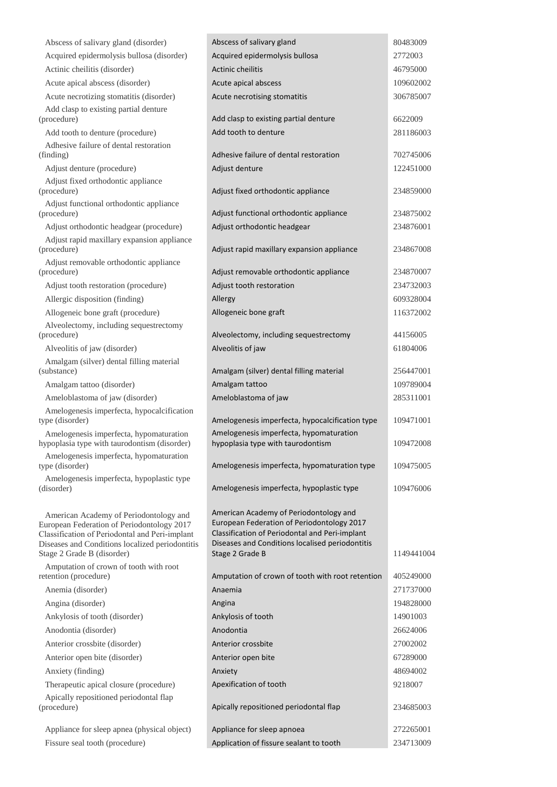| Abscess of salivary gland (disorder)                                                                                                                                                                                    | Abscess of salivary gland                                                                                                                                                                                    | 80483009             |
|-------------------------------------------------------------------------------------------------------------------------------------------------------------------------------------------------------------------------|--------------------------------------------------------------------------------------------------------------------------------------------------------------------------------------------------------------|----------------------|
| Acquired epidermolysis bullosa (disorder)                                                                                                                                                                               | Acquired epidermolysis bullosa                                                                                                                                                                               | 2772003              |
| Actinic cheilitis (disorder)                                                                                                                                                                                            | <b>Actinic cheilitis</b>                                                                                                                                                                                     | 46795000             |
| Acute apical abscess (disorder)                                                                                                                                                                                         | Acute apical abscess                                                                                                                                                                                         | 109602002            |
| Acute necrotizing stomatitis (disorder)                                                                                                                                                                                 | Acute necrotising stomatitis                                                                                                                                                                                 | 306785007            |
| Add clasp to existing partial denture<br>(procedure)                                                                                                                                                                    |                                                                                                                                                                                                              |                      |
| Add tooth to denture (procedure)                                                                                                                                                                                        | Add clasp to existing partial denture<br>Add tooth to denture                                                                                                                                                | 6622009<br>281186003 |
| Adhesive failure of dental restoration                                                                                                                                                                                  |                                                                                                                                                                                                              |                      |
| (finding)                                                                                                                                                                                                               | Adhesive failure of dental restoration                                                                                                                                                                       | 702745006            |
| Adjust denture (procedure)                                                                                                                                                                                              | Adjust denture                                                                                                                                                                                               | 122451000            |
| Adjust fixed orthodontic appliance<br>(procedure)                                                                                                                                                                       | Adjust fixed orthodontic appliance                                                                                                                                                                           | 234859000            |
| Adjust functional orthodontic appliance<br>(procedure)                                                                                                                                                                  | Adjust functional orthodontic appliance                                                                                                                                                                      | 234875002            |
| Adjust orthodontic headgear (procedure)                                                                                                                                                                                 | Adjust orthodontic headgear                                                                                                                                                                                  | 234876001            |
| Adjust rapid maxillary expansion appliance                                                                                                                                                                              |                                                                                                                                                                                                              |                      |
| (procedure)<br>Adjust removable orthodontic appliance                                                                                                                                                                   | Adjust rapid maxillary expansion appliance                                                                                                                                                                   | 234867008            |
| (procedure)                                                                                                                                                                                                             | Adjust removable orthodontic appliance                                                                                                                                                                       | 234870007            |
| Adjust tooth restoration (procedure)                                                                                                                                                                                    | Adjust tooth restoration                                                                                                                                                                                     | 234732003            |
| Allergic disposition (finding)                                                                                                                                                                                          | Allergy                                                                                                                                                                                                      | 609328004            |
| Allogeneic bone graft (procedure)                                                                                                                                                                                       | Allogeneic bone graft                                                                                                                                                                                        | 116372002            |
| Alveolectomy, including sequestrectomy                                                                                                                                                                                  |                                                                                                                                                                                                              |                      |
| (procedure)                                                                                                                                                                                                             | Alveolectomy, including sequestrectomy                                                                                                                                                                       | 44156005             |
| Alveolitis of jaw (disorder)                                                                                                                                                                                            | Alveolitis of jaw                                                                                                                                                                                            | 61804006             |
| Amalgam (silver) dental filling material<br>(substance)                                                                                                                                                                 | Amalgam (silver) dental filling material                                                                                                                                                                     | 256447001            |
| Amalgam tattoo (disorder)                                                                                                                                                                                               | Amalgam tattoo                                                                                                                                                                                               | 109789004            |
| Ameloblastoma of jaw (disorder)                                                                                                                                                                                         | Ameloblastoma of jaw                                                                                                                                                                                         | 285311001            |
| Amelogenesis imperfecta, hypocalcification<br>type (disorder)                                                                                                                                                           | Amelogenesis imperfecta, hypocalcification type                                                                                                                                                              | 109471001            |
| Amelogenesis imperfecta, hypomaturation                                                                                                                                                                                 | Amelogenesis imperfecta, hypomaturation                                                                                                                                                                      |                      |
| hypoplasia type with taurodontism (disorder)                                                                                                                                                                            | hypoplasia type with taurodontism                                                                                                                                                                            | 109472008            |
| Amelogenesis imperfecta, hypomaturation<br>type (disorder)                                                                                                                                                              | Amelogenesis imperfecta, hypomaturation type                                                                                                                                                                 | 109475005            |
| Amelogenesis imperfecta, hypoplastic type                                                                                                                                                                               |                                                                                                                                                                                                              |                      |
| (disorder)                                                                                                                                                                                                              | Amelogenesis imperfecta, hypoplastic type                                                                                                                                                                    | 109476006            |
| American Academy of Periodontology and<br>European Federation of Periodontology 2017<br>Classification of Periodontal and Peri-implant<br>Diseases and Conditions localized periodontitis<br>Stage 2 Grade B (disorder) | American Academy of Periodontology and<br>European Federation of Periodontology 2017<br>Classification of Periodontal and Peri-implant<br>Diseases and Conditions localised periodontitis<br>Stage 2 Grade B | 1149441004           |
| Amputation of crown of tooth with root<br>retention (procedure)                                                                                                                                                         | Amputation of crown of tooth with root retention                                                                                                                                                             | 405249000            |
| Anemia (disorder)                                                                                                                                                                                                       | Anaemia                                                                                                                                                                                                      | 271737000            |
| Angina (disorder)                                                                                                                                                                                                       | Angina                                                                                                                                                                                                       | 194828000            |
| Ankylosis of tooth (disorder)                                                                                                                                                                                           | Ankylosis of tooth                                                                                                                                                                                           | 14901003             |
| Anodontia (disorder)                                                                                                                                                                                                    | Anodontia                                                                                                                                                                                                    | 26624006             |
| Anterior crossbite (disorder)                                                                                                                                                                                           | Anterior crossbite                                                                                                                                                                                           | 27002002             |
| Anterior open bite (disorder)                                                                                                                                                                                           | Anterior open bite                                                                                                                                                                                           | 67289000             |
| Anxiety (finding)                                                                                                                                                                                                       | Anxiety                                                                                                                                                                                                      | 48694002             |
| Therapeutic apical closure (procedure)                                                                                                                                                                                  | Apexification of tooth                                                                                                                                                                                       | 9218007              |
| Apically repositioned periodontal flap<br>(procedure)                                                                                                                                                                   | Apically repositioned periodontal flap                                                                                                                                                                       | 234685003            |
|                                                                                                                                                                                                                         |                                                                                                                                                                                                              |                      |
| Appliance for sleep apnea (physical object)                                                                                                                                                                             | Appliance for sleep apnoea                                                                                                                                                                                   | 272265001            |
| Fissure seal tooth (procedure)                                                                                                                                                                                          | Application of fissure sealant to tooth                                                                                                                                                                      | 234713009            |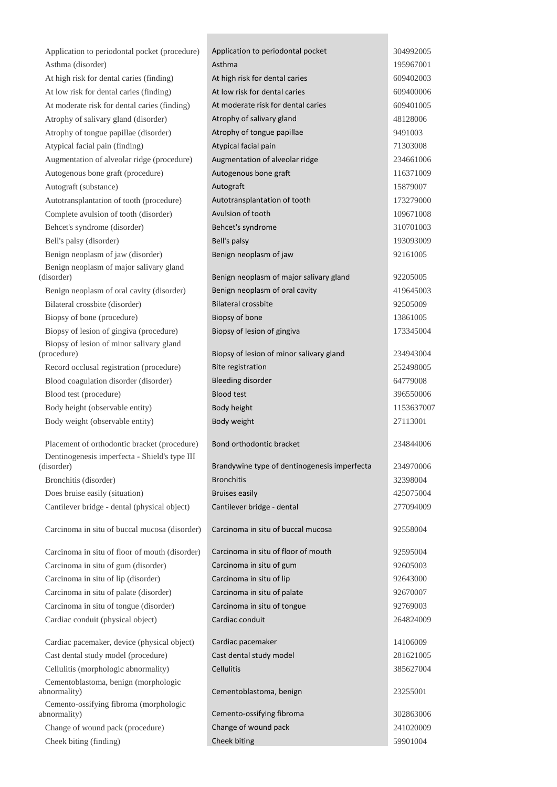| Application to periodontal pocket (procedure)           | Application to periodontal pocket            | 304992005  |
|---------------------------------------------------------|----------------------------------------------|------------|
| Asthma (disorder)                                       | Asthma                                       | 195967001  |
| At high risk for dental caries (finding)                | At high risk for dental caries               | 609402003  |
| At low risk for dental caries (finding)                 | At low risk for dental caries                | 609400006  |
| At moderate risk for dental caries (finding)            | At moderate risk for dental caries           | 609401005  |
| Atrophy of salivary gland (disorder)                    | Atrophy of salivary gland                    | 48128006   |
| Atrophy of tongue papillae (disorder)                   | Atrophy of tongue papillae                   | 9491003    |
| Atypical facial pain (finding)                          | Atypical facial pain                         | 71303008   |
| Augmentation of alveolar ridge (procedure)              | Augmentation of alveolar ridge               | 234661006  |
| Autogenous bone graft (procedure)                       | Autogenous bone graft                        | 116371009  |
| Autograft (substance)                                   | Autograft                                    | 15879007   |
| Autotransplantation of tooth (procedure)                | Autotransplantation of tooth                 | 173279000  |
| Complete avulsion of tooth (disorder)                   | Avulsion of tooth                            | 109671008  |
| Behcet's syndrome (disorder)                            | Behcet's syndrome                            | 310701003  |
| Bell's palsy (disorder)                                 | Bell's palsy                                 | 193093009  |
| Benign neoplasm of jaw (disorder)                       | Benign neoplasm of jaw                       | 92161005   |
| Benign neoplasm of major salivary gland                 |                                              |            |
| (disorder)                                              | Benign neoplasm of major salivary gland      | 92205005   |
| Benign neoplasm of oral cavity (disorder)               | Benign neoplasm of oral cavity               | 419645003  |
| Bilateral crossbite (disorder)                          | <b>Bilateral crossbite</b>                   | 92505009   |
| Biopsy of bone (procedure)                              | Biopsy of bone                               | 13861005   |
| Biopsy of lesion of gingiva (procedure)                 | Biopsy of lesion of gingiva                  | 173345004  |
| Biopsy of lesion of minor salivary gland<br>(procedure) | Biopsy of lesion of minor salivary gland     | 234943004  |
| Record occlusal registration (procedure)                | <b>Bite registration</b>                     | 252498005  |
| Blood coagulation disorder (disorder)                   | <b>Bleeding disorder</b>                     | 64779008   |
| Blood test (procedure)                                  | <b>Blood test</b>                            | 396550006  |
| Body height (observable entity)                         | Body height                                  | 1153637007 |
| Body weight (observable entity)                         | Body weight                                  | 27113001   |
|                                                         |                                              |            |
| Placement of orthodontic bracket (procedure)            | Bond orthodontic bracket                     | 234844006  |
| Dentinogenesis imperfecta - Shield's type III           |                                              |            |
| (disorder)                                              | Brandywine type of dentinogenesis imperfecta | 234970006  |
| Bronchitis (disorder)                                   | <b>Bronchitis</b>                            | 32398004   |
| Does bruise easily (situation)                          | <b>Bruises easily</b>                        | 425075004  |
| Cantilever bridge - dental (physical object)            | Cantilever bridge - dental                   | 277094009  |
| Carcinoma in situ of buccal mucosa (disorder)           | Carcinoma in situ of buccal mucosa           | 92558004   |
| Carcinoma in situ of floor of mouth (disorder)          | Carcinoma in situ of floor of mouth          | 92595004   |
| Carcinoma in situ of gum (disorder)                     | Carcinoma in situ of gum                     | 92605003   |
| Carcinoma in situ of lip (disorder)                     | Carcinoma in situ of lip                     | 92643000   |
| Carcinoma in situ of palate (disorder)                  | Carcinoma in situ of palate                  | 92670007   |
| Carcinoma in situ of tongue (disorder)                  | Carcinoma in situ of tongue                  | 92769003   |
| Cardiac conduit (physical object)                       | Cardiac conduit                              | 264824009  |
|                                                         |                                              |            |
| Cardiac pacemaker, device (physical object)             | Cardiac pacemaker                            | 14106009   |
| Cast dental study model (procedure)                     | Cast dental study model                      | 281621005  |
| Cellulitis (morphologic abnormality)                    | <b>Cellulitis</b>                            | 385627004  |
| Cementoblastoma, benign (morphologic                    |                                              |            |
| abnormality)                                            | Cementoblastoma, benign                      | 23255001   |
| Cemento-ossifying fibroma (morphologic<br>abnormality)  | Cemento-ossifying fibroma                    | 302863006  |
| Change of wound pack (procedure)                        | Change of wound pack                         | 241020009  |
| Cheek biting (finding)                                  | Cheek biting                                 | 59901004   |
|                                                         |                                              |            |

and the control of the control of the con-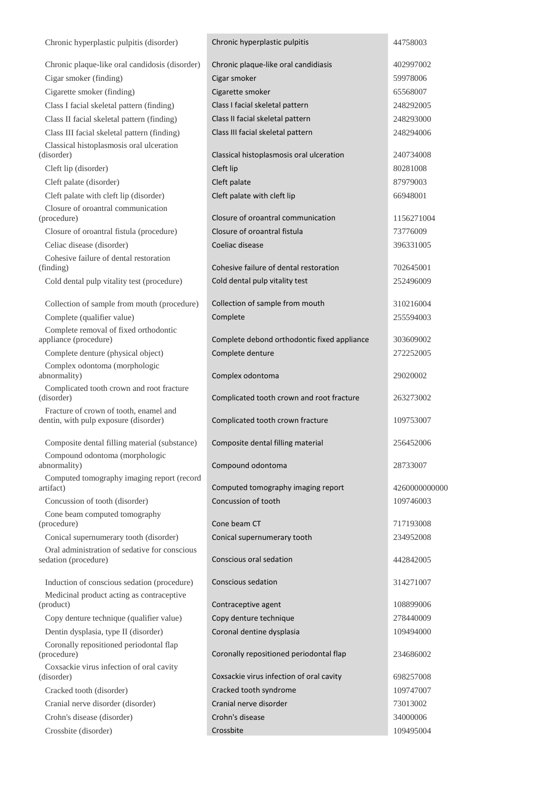| Chronic hyperplastic pulpitis (disorder)                                        | Chronic hyperplastic pulpitis               | 44758003             |
|---------------------------------------------------------------------------------|---------------------------------------------|----------------------|
| Chronic plaque-like oral candidosis (disorder)                                  | Chronic plaque-like oral candidiasis        | 402997002            |
| Cigar smoker (finding)                                                          | Cigar smoker                                | 59978006             |
| Cigarette smoker (finding)                                                      | Cigarette smoker                            | 65568007             |
| Class I facial skeletal pattern (finding)                                       | Class I facial skeletal pattern             | 248292005            |
| Class II facial skeletal pattern (finding)                                      | Class II facial skeletal pattern            | 248293000            |
| Class III facial skeletal pattern (finding)                                     | Class III facial skeletal pattern           | 248294006            |
| Classical histoplasmosis oral ulceration                                        |                                             |                      |
| (disorder)                                                                      | Classical histoplasmosis oral ulceration    | 240734008            |
| Cleft lip (disorder)                                                            | Cleft lip                                   | 80281008             |
| Cleft palate (disorder)<br>Cleft palate with cleft lip (disorder)               | Cleft palate<br>Cleft palate with cleft lip | 87979003<br>66948001 |
| Closure of oroantral communication                                              |                                             |                      |
| (procedure)                                                                     | Closure of oroantral communication          | 1156271004           |
| Closure of oroantral fistula (procedure)                                        | Closure of oroantral fistula                | 73776009             |
| Celiac disease (disorder)                                                       | Coeliac disease                             | 396331005            |
| Cohesive failure of dental restoration                                          |                                             |                      |
| (finding)                                                                       | Cohesive failure of dental restoration      | 702645001            |
| Cold dental pulp vitality test (procedure)                                      | Cold dental pulp vitality test              | 252496009            |
| Collection of sample from mouth (procedure)                                     | Collection of sample from mouth             | 310216004            |
| Complete (qualifier value)                                                      | Complete                                    | 255594003            |
| Complete removal of fixed orthodontic<br>appliance (procedure)                  | Complete debond orthodontic fixed appliance | 303609002            |
| Complete denture (physical object)                                              | Complete denture                            | 272252005            |
| Complex odontoma (morphologic<br>abnormality)                                   | Complex odontoma                            | 29020002             |
| Complicated tooth crown and root fracture<br>(disorder)                         | Complicated tooth crown and root fracture   | 263273002            |
| Fracture of crown of tooth, enamel and<br>dentin, with pulp exposure (disorder) | Complicated tooth crown fracture            | 109753007            |
| Composite dental filling material (substance)                                   | Composite dental filling material           | 256452006            |
| Compound odontoma (morphologic<br>abnormality)                                  | Compound odontoma                           | 28733007             |
| Computed tomography imaging report (record<br>artifact)                         | Computed tomography imaging report          | 4260000000000        |
| Concussion of tooth (disorder)                                                  | Concussion of tooth                         | 109746003            |
| Cone beam computed tomography                                                   |                                             |                      |
| (procedure)                                                                     | Cone beam CT                                | 717193008            |
| Conical supernumerary tooth (disorder)                                          | Conical supernumerary tooth                 | 234952008            |
| Oral administration of sedative for conscious<br>sedation (procedure)           | Conscious oral sedation                     | 442842005            |
| Induction of conscious sedation (procedure)                                     | Conscious sedation                          | 314271007            |
| Medicinal product acting as contraceptive<br>(product)                          | Contraceptive agent                         | 108899006            |
| Copy denture technique (qualifier value)                                        | Copy denture technique                      | 278440009            |
| Dentin dysplasia, type II (disorder)                                            | Coronal dentine dysplasia                   | 109494000            |
| Coronally repositioned periodontal flap<br>(procedure)                          | Coronally repositioned periodontal flap     | 234686002            |
| Coxsackie virus infection of oral cavity<br>(disorder)                          | Coxsackie virus infection of oral cavity    | 698257008            |
| Cracked tooth (disorder)                                                        | Cracked tooth syndrome                      | 109747007            |
| Cranial nerve disorder (disorder)                                               | Cranial nerve disorder                      | 73013002             |
| Crohn's disease (disorder)                                                      | Crohn's disease                             | 34000006             |
| Crossbite (disorder)                                                            | Crossbite                                   | 109495004            |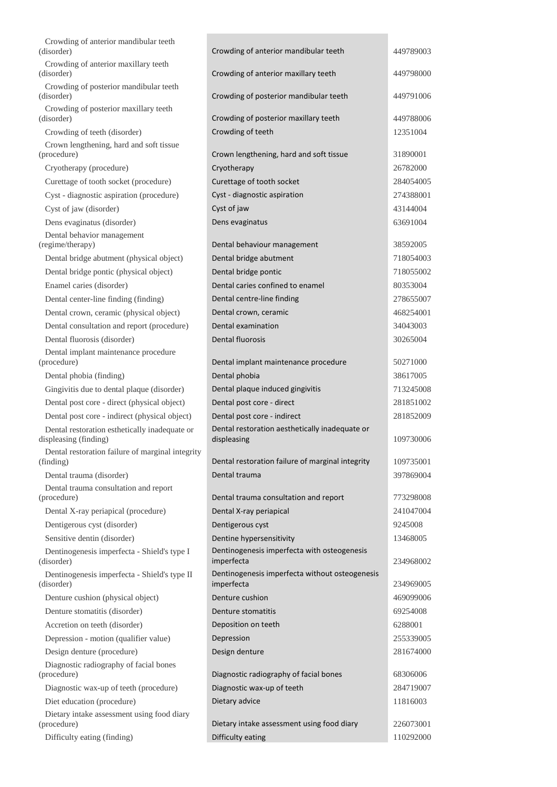| Crowding of anterior mandibular teeth<br>(disorder)                    | Crowding of anterior mandibular teeth                         | 449789003 |
|------------------------------------------------------------------------|---------------------------------------------------------------|-----------|
| Crowding of anterior maxillary teeth                                   |                                                               |           |
| (disorder)                                                             | Crowding of anterior maxillary teeth                          | 449798000 |
| Crowding of posterior mandibular teeth<br>(disorder)                   | Crowding of posterior mandibular teeth                        | 449791006 |
| Crowding of posterior maxillary teeth<br>(disorder)                    | Crowding of posterior maxillary teeth                         | 449788006 |
| Crowding of teeth (disorder)                                           | Crowding of teeth                                             | 12351004  |
| Crown lengthening, hard and soft tissue<br>(procedure)                 | Crown lengthening, hard and soft tissue                       | 31890001  |
| Cryotherapy (procedure)                                                | Cryotherapy                                                   | 26782000  |
| Curettage of tooth socket (procedure)                                  | Curettage of tooth socket                                     | 284054005 |
| Cyst - diagnostic aspiration (procedure)                               | Cyst - diagnostic aspiration                                  | 274388001 |
| Cyst of jaw (disorder)                                                 | Cyst of jaw                                                   | 43144004  |
| Dens evaginatus (disorder)                                             | Dens evaginatus                                               | 63691004  |
| Dental behavior management<br>(regime/therapy)                         | Dental behaviour management                                   | 38592005  |
| Dental bridge abutment (physical object)                               | Dental bridge abutment                                        | 718054003 |
| Dental bridge pontic (physical object)                                 | Dental bridge pontic                                          | 718055002 |
| Enamel caries (disorder)                                               | Dental caries confined to enamel                              | 80353004  |
| Dental center-line finding (finding)                                   | Dental centre-line finding                                    | 278655007 |
| Dental crown, ceramic (physical object)                                | Dental crown, ceramic                                         | 468254001 |
| Dental consultation and report (procedure)                             | Dental examination                                            | 34043003  |
| Dental fluorosis (disorder)                                            | Dental fluorosis                                              | 30265004  |
| Dental implant maintenance procedure                                   |                                                               |           |
| (procedure)                                                            | Dental implant maintenance procedure                          | 50271000  |
| Dental phobia (finding)                                                | Dental phobia                                                 | 38617005  |
| Gingivitis due to dental plaque (disorder)                             | Dental plaque induced gingivitis                              | 713245008 |
| Dental post core - direct (physical object)                            | Dental post core - direct                                     | 281851002 |
| Dental post core - indirect (physical object)                          | Dental post core - indirect                                   | 281852009 |
| Dental restoration esthetically inadequate or<br>displeasing (finding) | Dental restoration aesthetically inadequate or<br>displeasing | 109730006 |
| Dental restoration failure of marginal integrity<br>(finding)          | Dental restoration failure of marginal integrity              | 109735001 |
| Dental trauma (disorder)                                               | Dental trauma                                                 | 397869004 |
| Dental trauma consultation and report                                  |                                                               |           |
| (procedure)                                                            | Dental trauma consultation and report                         | 773298008 |
| Dental X-ray periapical (procedure)                                    | Dental X-ray periapical                                       | 241047004 |
| Dentigerous cyst (disorder)                                            | Dentigerous cyst                                              | 9245008   |
| Sensitive dentin (disorder)                                            | Dentine hypersensitivity                                      | 13468005  |
| Dentinogenesis imperfecta - Shield's type I<br>(disorder)              | Dentinogenesis imperfecta with osteogenesis<br>imperfecta     | 234968002 |
| Dentinogenesis imperfecta - Shield's type II<br>(disorder)             | Dentinogenesis imperfecta without osteogenesis<br>imperfecta  | 234969005 |
| Denture cushion (physical object)                                      | Denture cushion                                               | 469099006 |
| Denture stomatitis (disorder)                                          | Denture stomatitis                                            | 69254008  |
| Accretion on teeth (disorder)                                          | Deposition on teeth                                           | 6288001   |
| Depression - motion (qualifier value)                                  | Depression                                                    | 255339005 |
| Design denture (procedure)                                             | Design denture                                                | 281674000 |
| Diagnostic radiography of facial bones<br>(procedure)                  | Diagnostic radiography of facial bones                        | 68306006  |
| Diagnostic wax-up of teeth (procedure)                                 | Diagnostic wax-up of teeth                                    | 284719007 |
| Diet education (procedure)                                             | Dietary advice                                                | 11816003  |
| Dietary intake assessment using food diary<br>(procedure)              | Dietary intake assessment using food diary                    | 226073001 |
| Difficulty eating (finding)                                            | Difficulty eating                                             | 110292000 |
|                                                                        |                                                               |           |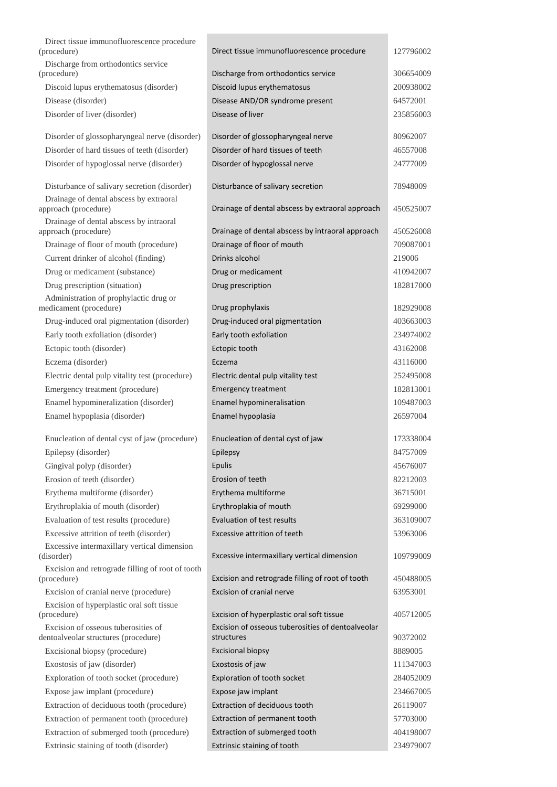| Direct tissue immunofluorescence procedure<br>(procedure)                              | Direct tissue immunofluorescence procedure                   | 127796002              |
|----------------------------------------------------------------------------------------|--------------------------------------------------------------|------------------------|
| Discharge from orthodontics service                                                    |                                                              |                        |
| (procedure)                                                                            | Discharge from orthodontics service                          | 306654009              |
| Discoid lupus erythematosus (disorder)                                                 | Discoid lupus erythematosus                                  | 200938002              |
| Disease (disorder)                                                                     | Disease AND/OR syndrome present                              | 64572001               |
| Disorder of liver (disorder)                                                           | Disease of liver                                             | 235856003              |
| Disorder of glossopharyngeal nerve (disorder)                                          | Disorder of glossopharyngeal nerve                           | 80962007               |
| Disorder of hard tissues of teeth (disorder)                                           | Disorder of hard tissues of teeth                            | 46557008               |
| Disorder of hypoglossal nerve (disorder)                                               | Disorder of hypoglossal nerve                                | 24777009               |
| Disturbance of salivary secretion (disorder)                                           | Disturbance of salivary secretion                            | 78948009               |
| Drainage of dental abscess by extraoral<br>approach (procedure)                        | Drainage of dental abscess by extraoral approach             | 450525007              |
| Drainage of dental abscess by intraoral<br>approach (procedure)                        | Drainage of dental abscess by intraoral approach             | 450526008              |
| Drainage of floor of mouth (procedure)                                                 | Drainage of floor of mouth                                   | 709087001              |
| Current drinker of alcohol (finding)                                                   | Drinks alcohol                                               | 219006                 |
| Drug or medicament (substance)                                                         |                                                              |                        |
|                                                                                        | Drug or medicament                                           | 410942007              |
| Drug prescription (situation)                                                          | Drug prescription                                            | 182817000              |
| Administration of prophylactic drug or<br>medicament (procedure)                       | Drug prophylaxis                                             | 182929008              |
| Drug-induced oral pigmentation (disorder)                                              | Drug-induced oral pigmentation                               | 403663003              |
| Early tooth exfoliation (disorder)                                                     | Early tooth exfoliation                                      | 234974002              |
| Ectopic tooth (disorder)                                                               | Ectopic tooth                                                | 43162008               |
| Eczema (disorder)                                                                      | Eczema                                                       | 43116000               |
| Electric dental pulp vitality test (procedure)                                         | Electric dental pulp vitality test                           | 252495008              |
| Emergency treatment (procedure)                                                        | <b>Emergency treatment</b>                                   | 182813001              |
| Enamel hypomineralization (disorder)                                                   | Enamel hypomineralisation                                    | 109487003              |
| Enamel hypoplasia (disorder)                                                           | Enamel hypoplasia                                            | 26597004               |
| Enucleation of dental cyst of jaw (procedure)                                          | Enucleation of dental cyst of jaw                            | 173338004              |
| Epilepsy (disorder)                                                                    | Epilepsy                                                     | 84757009               |
| Gingival polyp (disorder)                                                              | Epulis                                                       | 45676007               |
| Erosion of teeth (disorder)                                                            | Erosion of teeth                                             | 82212003               |
| Erythema multiforme (disorder)                                                         |                                                              | 36715001               |
| Erythroplakia of mouth (disorder)                                                      | Erythema multiforme<br>Erythroplakia of mouth                |                        |
|                                                                                        | <b>Evaluation of test results</b>                            | 69299000               |
| Evaluation of test results (procedure)                                                 |                                                              | 363109007              |
| Excessive attrition of teeth (disorder)<br>Excessive intermaxillary vertical dimension | <b>Excessive attrition of teeth</b>                          | 53963006               |
| (disorder)                                                                             | Excessive intermaxillary vertical dimension                  | 109799009              |
| Excision and retrograde filling of root of tooth<br>(procedure)                        | Excision and retrograde filling of root of tooth             | 450488005              |
| Excision of cranial nerve (procedure)                                                  | Excision of cranial nerve                                    | 63953001               |
| Excision of hyperplastic oral soft tissue<br>(procedure)                               | Excision of hyperplastic oral soft tissue                    | 405712005              |
| Excision of osseous tuberosities of                                                    | Excision of osseous tuberosities of dentoalveolar            |                        |
| dentoalveolar structures (procedure)                                                   | structures                                                   | 90372002               |
| Excisional biopsy (procedure)                                                          | <b>Excisional biopsy</b>                                     | 8889005                |
| Exostosis of jaw (disorder)                                                            | Exostosis of jaw                                             | 111347003              |
| Exploration of tooth socket (procedure)                                                | Exploration of tooth socket                                  | 284052009<br>234667005 |
| Expose jaw implant (procedure)                                                         | Expose jaw implant<br>Extraction of deciduous tooth          |                        |
| Extraction of deciduous tooth (procedure)                                              |                                                              | 26119007               |
| Extraction of permanent tooth (procedure)                                              | Extraction of permanent tooth                                | 57703000               |
| Extraction of submerged tooth (procedure)<br>Extrinsic staining of tooth (disorder)    | Extraction of submerged tooth<br>Extrinsic staining of tooth | 404198007<br>234979007 |
|                                                                                        |                                                              |                        |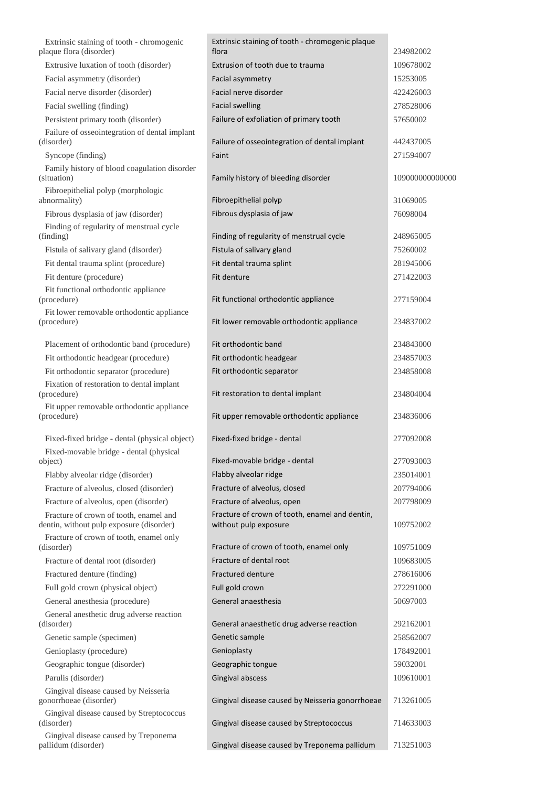| Extrinsic staining of tooth - chromogenic<br>plaque flora (disorder) | Extrinsic staining of tooth - chromogenic plaque<br>flora          | 234982002              |
|----------------------------------------------------------------------|--------------------------------------------------------------------|------------------------|
| Extrusive luxation of tooth (disorder)                               | Extrusion of tooth due to trauma                                   | 109678002              |
| Facial asymmetry (disorder)                                          | Facial asymmetry                                                   | 15253005               |
| Facial nerve disorder (disorder)                                     | Facial nerve disorder                                              | 422426003              |
| Facial swelling (finding)                                            | <b>Facial swelling</b>                                             | 278528006              |
| Persistent primary tooth (disorder)                                  | Failure of exfoliation of primary tooth                            | 57650002               |
| Failure of osseointegration of dental implant                        |                                                                    |                        |
| (disorder)                                                           | Failure of osseointegration of dental implant                      | 442437005              |
| Syncope (finding)<br>Family history of blood coagulation disorder    | Faint                                                              | 271594007              |
| (situation)                                                          | Family history of bleeding disorder                                | 109000000000000        |
| Fibroepithelial polyp (morphologic                                   |                                                                    |                        |
| abnormality)                                                         | Fibroepithelial polyp                                              | 31069005               |
| Fibrous dysplasia of jaw (disorder)                                  | Fibrous dysplasia of jaw                                           | 76098004               |
| Finding of regularity of menstrual cycle<br>(finding)                | Finding of regularity of menstrual cycle                           | 248965005              |
| Fistula of salivary gland (disorder)                                 | Fistula of salivary gland                                          | 75260002               |
| Fit dental trauma splint (procedure)                                 | Fit dental trauma splint                                           | 281945006              |
| Fit denture (procedure)                                              | Fit denture                                                        | 271422003              |
| Fit functional orthodontic appliance                                 |                                                                    |                        |
| (procedure)                                                          | Fit functional orthodontic appliance                               | 277159004              |
| Fit lower removable orthodontic appliance<br>(procedure)             | Fit lower removable orthodontic appliance                          | 234837002              |
|                                                                      |                                                                    |                        |
| Placement of orthodontic band (procedure)                            | Fit orthodontic band                                               | 234843000              |
| Fit orthodontic headgear (procedure)                                 | Fit orthodontic headgear                                           | 234857003              |
| Fit orthodontic separator (procedure)                                | Fit orthodontic separator                                          | 234858008              |
| Fixation of restoration to dental implant                            |                                                                    |                        |
| (procedure)<br>Fit upper removable orthodontic appliance             | Fit restoration to dental implant                                  | 234804004              |
| (procedure)                                                          | Fit upper removable orthodontic appliance                          | 234836006              |
| Fixed-fixed bridge - dental (physical object)                        | Fixed-fixed bridge - dental                                        | 277092008              |
| Fixed-movable bridge - dental (physical<br>object)                   | Fixed-movable bridge - dental                                      | 277093003              |
| Flabby alveolar ridge (disorder)                                     | Flabby alveolar ridge                                              | 235014001              |
| Fracture of alveolus, closed (disorder)                              | Fracture of alveolus, closed                                       | 207794006              |
| Fracture of alveolus, open (disorder)                                | Fracture of alveolus, open                                         | 207798009              |
| Fracture of crown of tooth, enamel and                               | Fracture of crown of tooth, enamel and dentin,                     |                        |
| dentin, without pulp exposure (disorder)                             | without pulp exposure                                              | 109752002              |
| Fracture of crown of tooth, enamel only                              |                                                                    |                        |
| (disorder)<br>Fracture of dental root (disorder)                     | Fracture of crown of tooth, enamel only<br>Fracture of dental root | 109751009<br>109683005 |
| Fractured denture (finding)                                          | <b>Fractured denture</b>                                           | 278616006              |
| Full gold crown (physical object)                                    | Full gold crown                                                    | 272291000              |
| General anesthesia (procedure)                                       | General anaesthesia                                                | 50697003               |
| General anesthetic drug adverse reaction                             |                                                                    |                        |
| (disorder)                                                           | General anaesthetic drug adverse reaction                          | 292162001              |
| Genetic sample (specimen)                                            | Genetic sample                                                     | 258562007              |
| Genioplasty (procedure)                                              | Genioplasty                                                        | 178492001              |
| Geographic tongue (disorder)                                         | Geographic tongue                                                  | 59032001               |
| Parulis (disorder)                                                   | Gingival abscess                                                   | 109610001              |
| Gingival disease caused by Neisseria<br>gonorrhoeae (disorder)       | Gingival disease caused by Neisseria gonorrhoeae                   | 713261005              |
| Gingival disease caused by Streptococcus<br>(disorder)               | Gingival disease caused by Streptococcus                           | 714633003              |
| Gingival disease caused by Treponema<br>pallidum (disorder)          | Gingival disease caused by Treponema pallidum                      | 713251003              |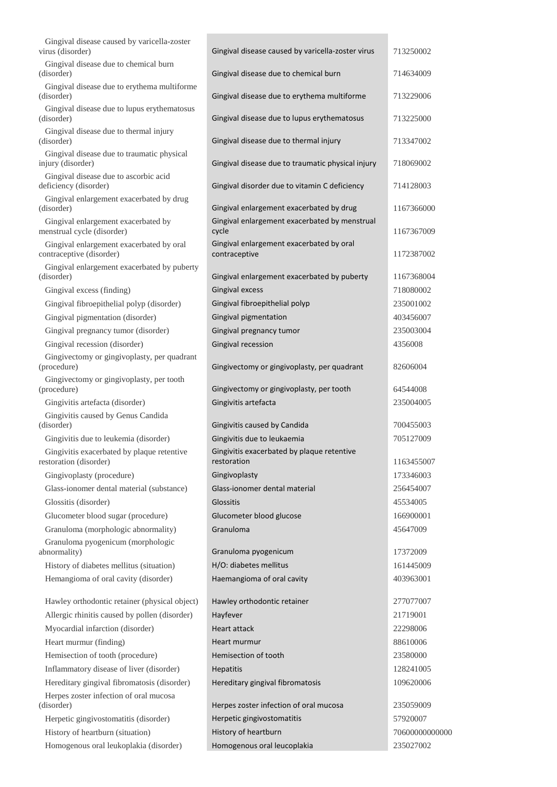| Gingival disease caused by varicella-zoster<br>virus (disorder)      | Gingival disease caused by varicella-zoster virus         | 713250002      |
|----------------------------------------------------------------------|-----------------------------------------------------------|----------------|
| Gingival disease due to chemical burn<br>(disorder)                  | Gingival disease due to chemical burn                     | 714634009      |
| Gingival disease due to erythema multiforme<br>(disorder)            | Gingival disease due to erythema multiforme               | 713229006      |
| Gingival disease due to lupus erythematosus<br>(disorder)            | Gingival disease due to lupus erythematosus               | 713225000      |
| Gingival disease due to thermal injury<br>(disorder)                 | Gingival disease due to thermal injury                    | 713347002      |
| Gingival disease due to traumatic physical<br>injury (disorder)      | Gingival disease due to traumatic physical injury         | 718069002      |
| Gingival disease due to ascorbic acid<br>deficiency (disorder)       | Gingival disorder due to vitamin C deficiency             | 714128003      |
| Gingival enlargement exacerbated by drug<br>(disorder)               | Gingival enlargement exacerbated by drug                  | 1167366000     |
| Gingival enlargement exacerbated by<br>menstrual cycle (disorder)    | Gingival enlargement exacerbated by menstrual<br>cycle    | 1167367009     |
| Gingival enlargement exacerbated by oral<br>contraceptive (disorder) | Gingival enlargement exacerbated by oral<br>contraceptive | 1172387002     |
| Gingival enlargement exacerbated by puberty<br>(disorder)            | Gingival enlargement exacerbated by puberty               | 1167368004     |
| Gingival excess (finding)                                            | Gingival excess                                           | 718080002      |
| Gingival fibroepithelial polyp (disorder)                            | Gingival fibroepithelial polyp                            | 235001002      |
| Gingival pigmentation (disorder)                                     | Gingival pigmentation                                     | 403456007      |
| Gingival pregnancy tumor (disorder)                                  | Gingival pregnancy tumor                                  | 235003004      |
| Gingival recession (disorder)                                        | Gingival recession                                        | 4356008        |
| Gingivectomy or gingivoplasty, per quadrant<br>(procedure)           | Gingivectomy or gingivoplasty, per quadrant               | 82606004       |
| Gingivectomy or gingivoplasty, per tooth<br>(procedure)              | Gingivectomy or gingivoplasty, per tooth                  | 64544008       |
| Gingivitis artefacta (disorder)                                      | Gingivitis artefacta                                      | 235004005      |
| Gingivitis caused by Genus Candida<br>(disorder)                     | Gingivitis caused by Candida                              | 700455003      |
| Gingivitis due to leukemia (disorder)                                | Gingivitis due to leukaemia                               | 705127009      |
| Gingivitis exacerbated by plaque retentive<br>restoration (disorder) | Gingivitis exacerbated by plaque retentive<br>restoration | 1163455007     |
| Gingivoplasty (procedure)                                            | Gingivoplasty                                             | 173346003      |
| Glass-ionomer dental material (substance)                            | Glass-ionomer dental material                             | 256454007      |
| Glossitis (disorder)                                                 | Glossitis                                                 | 45534005       |
| Glucometer blood sugar (procedure)                                   | Glucometer blood glucose                                  | 166900001      |
| Granuloma (morphologic abnormality)                                  | Granuloma                                                 | 45647009       |
| Granuloma pyogenicum (morphologic<br>abnormality)                    | Granuloma pyogenicum                                      | 17372009       |
| History of diabetes mellitus (situation)                             | H/O: diabetes mellitus                                    | 161445009      |
| Hemangioma of oral cavity (disorder)                                 | Haemangioma of oral cavity                                | 403963001      |
| Hawley orthodontic retainer (physical object)                        | Hawley orthodontic retainer                               | 277077007      |
| Allergic rhinitis caused by pollen (disorder)                        | Hayfever                                                  | 21719001       |
| Myocardial infarction (disorder)                                     | <b>Heart attack</b>                                       | 22298006       |
| Heart murmur (finding)                                               | Heart murmur                                              | 88610006       |
| Hemisection of tooth (procedure)                                     | Hemisection of tooth                                      | 23580000       |
| Inflammatory disease of liver (disorder)                             | Hepatitis                                                 | 128241005      |
| Hereditary gingival fibromatosis (disorder)                          | Hereditary gingival fibromatosis                          | 109620006      |
| Herpes zoster infection of oral mucosa<br>(disorder)                 | Herpes zoster infection of oral mucosa                    | 235059009      |
| Herpetic gingivostomatitis (disorder)                                | Herpetic gingivostomatitis                                | 57920007       |
| History of heartburn (situation)                                     | History of heartburn                                      | 70600000000000 |
| Homogenous oral leukoplakia (disorder)                               | Homogenous oral leucoplakia                               | 235027002      |
|                                                                      |                                                           |                |

r.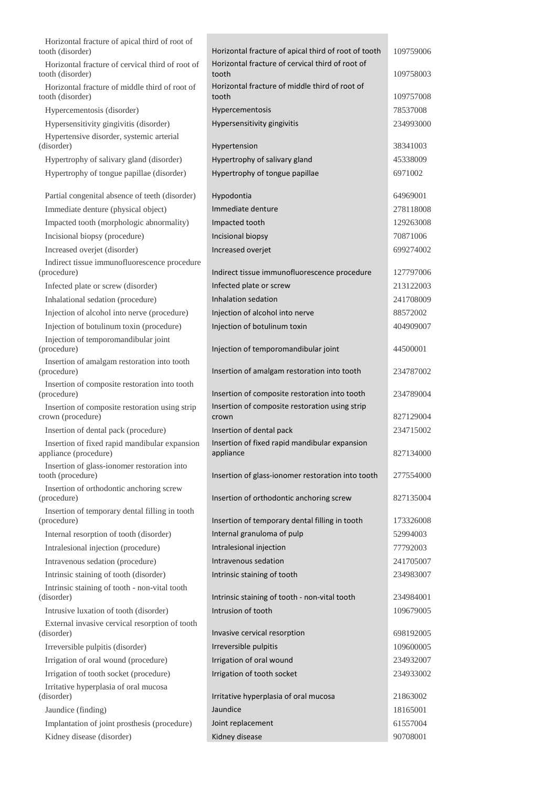| Horizontal fracture of apical third of root of<br>tooth (disorder)      | Horizontal fracture of apical third of root of tooth       | 109759006             |
|-------------------------------------------------------------------------|------------------------------------------------------------|-----------------------|
| Horizontal fracture of cervical third of root of                        | Horizontal fracture of cervical third of root of           |                       |
| tooth (disorder)<br>Horizontal fracture of middle third of root of      | tooth<br>Horizontal fracture of middle third of root of    | 109758003             |
| tooth (disorder)                                                        | tooth                                                      | 109757008             |
| Hypercementosis (disorder)                                              | Hypercementosis                                            | 78537008              |
| Hypersensitivity gingivitis (disorder)                                  | Hypersensitivity gingivitis                                | 234993000             |
| Hypertensive disorder, systemic arterial                                |                                                            |                       |
| (disorder)                                                              | Hypertension                                               | 38341003              |
| Hypertrophy of salivary gland (disorder)                                | Hypertrophy of salivary gland                              | 45338009              |
| Hypertrophy of tongue papillae (disorder)                               | Hypertrophy of tongue papillae                             | 6971002               |
| Partial congenital absence of teeth (disorder)                          | Hypodontia                                                 | 64969001              |
| Immediate denture (physical object)                                     | Immediate denture                                          | 278118008             |
| Impacted tooth (morphologic abnormality)                                | Impacted tooth                                             | 129263008             |
| Incisional biopsy (procedure)                                           | <b>Incisional biopsy</b>                                   | 70871006              |
| Increased overjet (disorder)                                            | Increased overjet                                          | 699274002             |
| Indirect tissue immunofluorescence procedure<br>(procedure)             | Indirect tissue immunofluorescence procedure               | 127797006             |
| Infected plate or screw (disorder)                                      | Infected plate or screw                                    | 213122003             |
| Inhalational sedation (procedure)                                       | Inhalation sedation                                        | 241708009             |
| Injection of alcohol into nerve (procedure)                             | Injection of alcohol into nerve                            | 88572002              |
| Injection of botulinum toxin (procedure)                                | Injection of botulinum toxin                               | 404909007             |
| Injection of temporomandibular joint<br>(procedure)                     | Injection of temporomandibular joint                       | 44500001              |
| Insertion of amalgam restoration into tooth<br>(procedure)              | Insertion of amalgam restoration into tooth                | 234787002             |
| Insertion of composite restoration into tooth<br>(procedure)            | Insertion of composite restoration into tooth              | 234789004             |
| Insertion of composite restoration using strip                          | Insertion of composite restoration using strip             |                       |
| crown (procedure)                                                       | crown                                                      | 827129004             |
| Insertion of dental pack (procedure)                                    | Insertion of dental pack                                   | 234715002             |
| Insertion of fixed rapid mandibular expansion<br>appliance (procedure)  | Insertion of fixed rapid mandibular expansion<br>appliance | 827134000             |
| Insertion of glass-ionomer restoration into<br>tooth (procedure)        | Insertion of glass-ionomer restoration into tooth          | 277554000             |
| Insertion of orthodontic anchoring screw<br>(procedure)                 | Insertion of orthodontic anchoring screw                   | 827135004             |
| Insertion of temporary dental filling in tooth                          | Insertion of temporary dental filling in tooth             |                       |
| (procedure)<br>Internal resorption of tooth (disorder)                  |                                                            | 173326008<br>52994003 |
|                                                                         | Internal granuloma of pulp<br>Intralesional injection      | 77792003              |
| Intralesional injection (procedure)<br>Intravenous sedation (procedure) | Intravenous sedation                                       | 241705007             |
| Intrinsic staining of tooth (disorder)                                  | Intrinsic staining of tooth                                | 234983007             |
| Intrinsic staining of tooth - non-vital tooth                           |                                                            |                       |
| (disorder)                                                              | Intrinsic staining of tooth - non-vital tooth              | 234984001             |
| Intrusive luxation of tooth (disorder)                                  | Intrusion of tooth                                         | 109679005             |
| External invasive cervical resorption of tooth<br>(disorder)            | Invasive cervical resorption                               | 698192005             |
| Irreversible pulpitis (disorder)                                        | Irreversible pulpitis                                      | 109600005             |
| Irrigation of oral wound (procedure)                                    | Irrigation of oral wound                                   | 234932007             |
| Irrigation of tooth socket (procedure)                                  | Irrigation of tooth socket                                 | 234933002             |
| Irritative hyperplasia of oral mucosa<br>(disorder)                     | Irritative hyperplasia of oral mucosa                      | 21863002              |
| Jaundice (finding)                                                      | Jaundice                                                   | 18165001              |
| Implantation of joint prosthesis (procedure)                            | Joint replacement                                          | 61557004              |
| Kidney disease (disorder)                                               | Kidney disease                                             | 90708001              |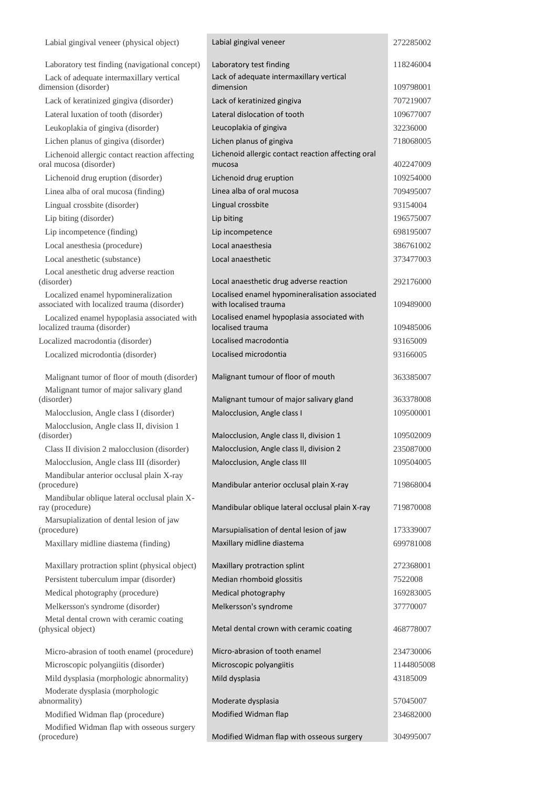| Labial gingival veneer (physical object)                                           | Labial gingival veneer                                                  | 272285002              |
|------------------------------------------------------------------------------------|-------------------------------------------------------------------------|------------------------|
| Laboratory test finding (navigational concept)                                     | Laboratory test finding                                                 | 118246004              |
| Lack of adequate intermaxillary vertical<br>dimension (disorder)                   | Lack of adequate intermaxillary vertical<br>dimension                   | 109798001              |
| Lack of keratinized gingiva (disorder)                                             | Lack of keratinized gingiva                                             | 707219007              |
| Lateral luxation of tooth (disorder)                                               | Lateral dislocation of tooth                                            | 109677007              |
| Leukoplakia of gingiva (disorder)                                                  | Leucoplakia of gingiva                                                  | 32236000               |
| Lichen planus of gingiva (disorder)                                                | Lichen planus of gingiva                                                | 718068005              |
| Lichenoid allergic contact reaction affecting<br>oral mucosa (disorder)            | Lichenoid allergic contact reaction affecting oral<br>mucosa            | 402247009              |
| Lichenoid drug eruption (disorder)                                                 | Lichenoid drug eruption                                                 | 109254000              |
| Linea alba of oral mucosa (finding)                                                | Linea alba of oral mucosa                                               | 709495007              |
| Lingual crossbite (disorder)                                                       | Lingual crossbite                                                       | 93154004               |
| Lip biting (disorder)                                                              | Lip biting                                                              | 196575007              |
| Lip incompetence (finding)                                                         | Lip incompetence                                                        | 698195007              |
| Local anesthesia (procedure)                                                       | Local anaesthesia                                                       | 386761002              |
| Local anesthetic (substance)                                                       | Local anaesthetic                                                       | 373477003              |
| Local anesthetic drug adverse reaction                                             |                                                                         |                        |
| (disorder)                                                                         | Local anaesthetic drug adverse reaction                                 | 292176000              |
| Localized enamel hypomineralization<br>associated with localized trauma (disorder) | Localised enamel hypomineralisation associated<br>with localised trauma | 109489000              |
| Localized enamel hypoplasia associated with<br>localized trauma (disorder)         | Localised enamel hypoplasia associated with<br>localised trauma         | 109485006              |
| Localized macrodontia (disorder)                                                   | Localised macrodontia                                                   | 93165009               |
| Localized microdontia (disorder)                                                   | Localised microdontia                                                   | 93166005               |
| Malignant tumor of floor of mouth (disorder)                                       | Malignant tumour of floor of mouth                                      | 363385007              |
| Malignant tumor of major salivary gland<br>(disorder)                              | Malignant tumour of major salivary gland                                | 363378008              |
| Malocclusion, Angle class I (disorder)                                             | Malocclusion, Angle class I                                             | 109500001              |
| Malocclusion, Angle class II, division 1<br>(disorder)                             | Malocclusion, Angle class II, division 1                                | 109502009              |
| Class II division 2 malocclusion (disorder)                                        | Malocclusion, Angle class II, division 2                                | 235087000              |
| Malocclusion, Angle class III (disorder)                                           | Malocclusion, Angle class III                                           | 109504005              |
| Mandibular anterior occlusal plain X-ray<br>(procedure)                            | Mandibular anterior occlusal plain X-ray                                | 719868004              |
| Mandibular oblique lateral occlusal plain X-<br>ray (procedure)                    | Mandibular oblique lateral occlusal plain X-ray                         | 719870008              |
| Marsupialization of dental lesion of jaw                                           |                                                                         |                        |
| (procedure)<br>Maxillary midline diastema (finding)                                | Marsupialisation of dental lesion of jaw<br>Maxillary midline diastema  | 173339007<br>699781008 |
|                                                                                    |                                                                         |                        |
| Maxillary protraction splint (physical object)                                     | Maxillary protraction splint                                            | 272368001              |
| Persistent tuberculum impar (disorder)                                             | Median rhomboid glossitis                                               | 7522008                |
| Medical photography (procedure)                                                    | Medical photography                                                     | 169283005              |
| Melkersson's syndrome (disorder)                                                   | Melkersson's syndrome                                                   | 37770007               |
| Metal dental crown with ceramic coating<br>(physical object)                       | Metal dental crown with ceramic coating                                 | 468778007              |
| Micro-abrasion of tooth enamel (procedure)                                         | Micro-abrasion of tooth enamel                                          | 234730006              |
| Microscopic polyangiitis (disorder)                                                | Microscopic polyangiitis                                                | 1144805008             |
| Mild dysplasia (morphologic abnormality)                                           | Mild dysplasia                                                          | 43185009               |
| Moderate dysplasia (morphologic                                                    |                                                                         |                        |
| abnormality)                                                                       | Moderate dysplasia                                                      | 57045007               |
| Modified Widman flap (procedure)                                                   | Modified Widman flap                                                    | 234682000              |
| Modified Widman flap with osseous surgery<br>(procedure)                           | Modified Widman flap with osseous surgery                               | 304995007              |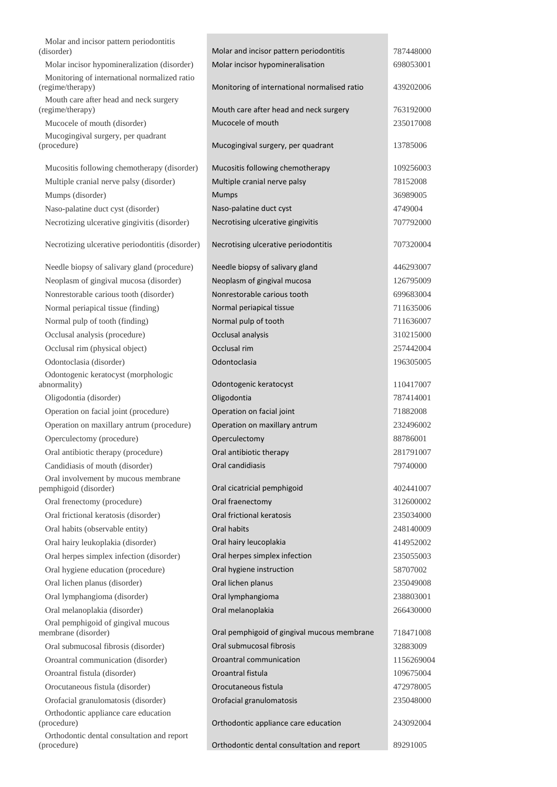| Molar and incisor pattern periodontitis<br>(disorder)            | Molar and incisor pattern periodontitis      | 787448000  |
|------------------------------------------------------------------|----------------------------------------------|------------|
| Molar incisor hypomineralization (disorder)                      | Molar incisor hypomineralisation             | 698053001  |
| Monitoring of international normalized ratio<br>(regime/therapy) | Monitoring of international normalised ratio | 439202006  |
| Mouth care after head and neck surgery                           |                                              |            |
| (regime/therapy)                                                 | Mouth care after head and neck surgery       | 763192000  |
| Mucocele of mouth (disorder)                                     | Mucocele of mouth                            | 235017008  |
| Mucogingival surgery, per quadrant<br>(procedure)                | Mucogingival surgery, per quadrant           | 13785006   |
| Mucositis following chemotherapy (disorder)                      | Mucositis following chemotherapy             | 109256003  |
| Multiple cranial nerve palsy (disorder)                          | Multiple cranial nerve palsy                 | 78152008   |
| Mumps (disorder)                                                 | <b>Mumps</b>                                 | 36989005   |
| Naso-palatine duct cyst (disorder)                               | Naso-palatine duct cyst                      | 4749004    |
| Necrotizing ulcerative gingivitis (disorder)                     | Necrotising ulcerative gingivitis            | 707792000  |
| Necrotizing ulcerative periodontitis (disorder)                  | Necrotising ulcerative periodontitis         | 707320004  |
| Needle biopsy of salivary gland (procedure)                      | Needle biopsy of salivary gland              | 446293007  |
| Neoplasm of gingival mucosa (disorder)                           | Neoplasm of gingival mucosa                  | 126795009  |
| Nonrestorable carious tooth (disorder)                           | Nonrestorable carious tooth                  | 699683004  |
| Normal periapical tissue (finding)                               | Normal periapical tissue                     | 711635006  |
| Normal pulp of tooth (finding)                                   | Normal pulp of tooth                         | 711636007  |
| Occlusal analysis (procedure)                                    | Occlusal analysis                            | 310215000  |
| Occlusal rim (physical object)                                   | Occlusal rim                                 | 257442004  |
| Odontoclasia (disorder)                                          | Odontoclasia                                 | 196305005  |
| Odontogenic keratocyst (morphologic<br>abnormality)              | Odontogenic keratocyst                       | 110417007  |
| Oligodontia (disorder)                                           | Oligodontia                                  | 787414001  |
| Operation on facial joint (procedure)                            | Operation on facial joint                    | 71882008   |
| Operation on maxillary antrum (procedure)                        | Operation on maxillary antrum                | 232496002  |
| Operculectomy (procedure)                                        | Operculectomy                                | 88786001   |
| Oral antibiotic therapy (procedure)                              | Oral antibiotic therapy                      | 281791007  |
| Candidiasis of mouth (disorder)                                  | Oral candidiasis                             | 79740000   |
| Oral involvement by mucous membrane<br>pemphigoid (disorder)     | Oral cicatricial pemphigoid                  | 402441007  |
| Oral frenectomy (procedure)                                      | Oral fraenectomy                             | 312600002  |
| Oral frictional keratosis (disorder)                             | Oral frictional keratosis                    | 235034000  |
| Oral habits (observable entity)                                  | Oral habits                                  | 248140009  |
| Oral hairy leukoplakia (disorder)                                | Oral hairy leucoplakia                       | 414952002  |
| Oral herpes simplex infection (disorder)                         | Oral herpes simplex infection                | 235055003  |
| Oral hygiene education (procedure)                               | Oral hygiene instruction                     | 58707002   |
| Oral lichen planus (disorder)                                    | Oral lichen planus                           | 235049008  |
| Oral lymphangioma (disorder)                                     | Oral lymphangioma                            | 238803001  |
| Oral melanoplakia (disorder)                                     | Oral melanoplakia                            | 266430000  |
| Oral pemphigoid of gingival mucous                               |                                              |            |
| membrane (disorder)                                              | Oral pemphigoid of gingival mucous membrane  | 718471008  |
| Oral submucosal fibrosis (disorder)                              | Oral submucosal fibrosis                     | 32883009   |
| Oroantral communication (disorder)                               | Oroantral communication                      | 1156269004 |
| Oroantral fistula (disorder)                                     | Oroantral fistula                            | 109675004  |
| Orocutaneous fistula (disorder)                                  | Orocutaneous fistula                         | 472978005  |
| Orofacial granulomatosis (disorder)                              | Orofacial granulomatosis                     | 235048000  |
| Orthodontic appliance care education<br>(procedure)              | Orthodontic appliance care education         | 243092004  |
| Orthodontic dental consultation and report<br>(procedure)        | Orthodontic dental consultation and report   | 89291005   |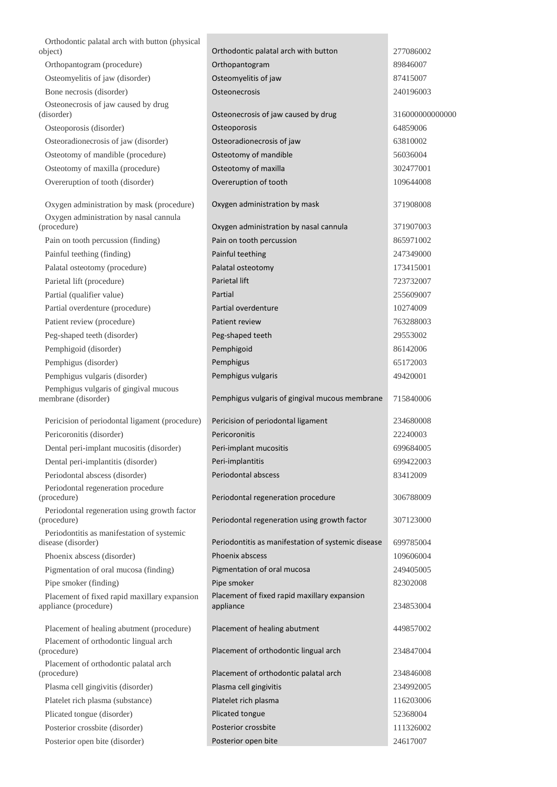| Orthodontic palatal arch with button (physical<br>object)        | Orthodontic palatal arch with button               | 277086002       |
|------------------------------------------------------------------|----------------------------------------------------|-----------------|
| Orthopantogram (procedure)                                       | Orthopantogram                                     | 89846007        |
| Osteomyelitis of jaw (disorder)                                  |                                                    | 87415007        |
|                                                                  | Osteomyelitis of jaw                               |                 |
| Bone necrosis (disorder)<br>Osteonecrosis of jaw caused by drug  | Osteonecrosis                                      | 240196003       |
| (disorder)                                                       | Osteonecrosis of jaw caused by drug                | 316000000000000 |
| Osteoporosis (disorder)                                          | Osteoporosis                                       | 64859006        |
| Osteoradionecrosis of jaw (disorder)                             | Osteoradionecrosis of jaw                          | 63810002        |
| Osteotomy of mandible (procedure)                                | Osteotomy of mandible                              | 56036004        |
| Osteotomy of maxilla (procedure)                                 | Osteotomy of maxilla                               | 302477001       |
| Overeruption of tooth (disorder)                                 | Overeruption of tooth                              | 109644008       |
|                                                                  |                                                    |                 |
| Oxygen administration by mask (procedure)                        | Oxygen administration by mask                      | 371908008       |
| Oxygen administration by nasal cannula                           |                                                    |                 |
| (procedure)                                                      | Oxygen administration by nasal cannula             | 371907003       |
| Pain on tooth percussion (finding)                               | Pain on tooth percussion                           | 865971002       |
| Painful teething (finding)                                       | Painful teething                                   | 247349000       |
| Palatal osteotomy (procedure)                                    | Palatal osteotomy                                  | 173415001       |
| Parietal lift (procedure)                                        | Parietal lift                                      | 723732007       |
| Partial (qualifier value)                                        | Partial                                            | 255609007       |
| Partial overdenture (procedure)                                  | Partial overdenture                                | 10274009        |
| Patient review (procedure)                                       | Patient review                                     | 763288003       |
| Peg-shaped teeth (disorder)                                      | Peg-shaped teeth                                   | 29553002        |
| Pemphigoid (disorder)                                            | Pemphigoid                                         | 86142006        |
| Pemphigus (disorder)                                             | Pemphigus                                          | 65172003        |
| Pemphigus vulgaris (disorder)                                    | Pemphigus vulgaris                                 | 49420001        |
| Pemphigus vulgaris of gingival mucous<br>membrane (disorder)     | Pemphigus vulgaris of gingival mucous membrane     | 715840006       |
| Pericision of periodontal ligament (procedure)                   | Pericision of periodontal ligament                 | 234680008       |
| Pericoronitis (disorder)                                         | Pericoronitis                                      | 22240003        |
| Dental peri-implant mucositis (disorder)                         | Peri-implant mucositis                             | 699684005       |
| Dental peri-implantitis (disorder)                               | Peri-implantitis                                   | 699422003       |
| Periodontal abscess (disorder)                                   | Periodontal abscess                                | 83412009        |
| Periodontal regeneration procedure<br>(procedure)                | Periodontal regeneration procedure                 | 306788009       |
| Periodontal regeneration using growth factor<br>(procedure)      | Periodontal regeneration using growth factor       | 307123000       |
| Periodontitis as manifestation of systemic<br>disease (disorder) | Periodontitis as manifestation of systemic disease | 699785004       |
| Phoenix abscess (disorder)                                       | Phoenix abscess                                    | 109606004       |
| Pigmentation of oral mucosa (finding)                            | Pigmentation of oral mucosa                        | 249405005       |
| Pipe smoker (finding)                                            | Pipe smoker                                        | 82302008        |
| Placement of fixed rapid maxillary expansion                     | Placement of fixed rapid maxillary expansion       |                 |
| appliance (procedure)                                            | appliance                                          | 234853004       |
| Placement of healing abutment (procedure)                        | Placement of healing abutment                      | 449857002       |
| Placement of orthodontic lingual arch<br>(procedure)             | Placement of orthodontic lingual arch              | 234847004       |
| Placement of orthodontic palatal arch<br>(procedure)             | Placement of orthodontic palatal arch              | 234846008       |
| Plasma cell gingivitis (disorder)                                | Plasma cell gingivitis                             | 234992005       |
| Platelet rich plasma (substance)                                 | Platelet rich plasma                               | 116203006       |
| Plicated tongue (disorder)                                       | Plicated tongue                                    | 52368004        |
| Posterior crossbite (disorder)                                   | Posterior crossbite                                | 111326002       |
| Posterior open bite (disorder)                                   |                                                    | 24617007        |
|                                                                  | Posterior open bite                                |                 |

٠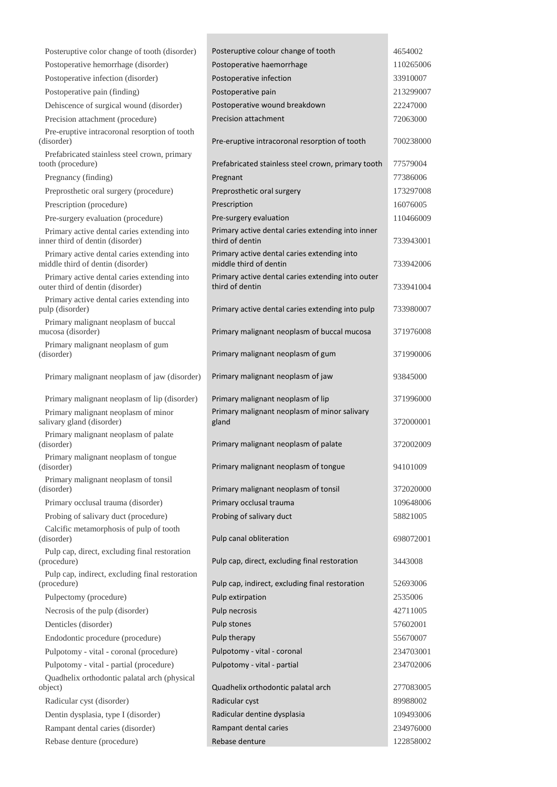| Posteruptive colour change of tooth                   | 4654002                                                                                                                                                                                                                                                                                         |
|-------------------------------------------------------|-------------------------------------------------------------------------------------------------------------------------------------------------------------------------------------------------------------------------------------------------------------------------------------------------|
| Postoperative haemorrhage                             | 110265006                                                                                                                                                                                                                                                                                       |
| Postoperative infection                               | 33910007                                                                                                                                                                                                                                                                                        |
| Postoperative pain                                    | 213299007                                                                                                                                                                                                                                                                                       |
| Postoperative wound breakdown                         | 22247000                                                                                                                                                                                                                                                                                        |
| <b>Precision attachment</b>                           | 72063000                                                                                                                                                                                                                                                                                        |
| Pre-eruptive intracoronal resorption of tooth         | 700238000                                                                                                                                                                                                                                                                                       |
|                                                       |                                                                                                                                                                                                                                                                                                 |
|                                                       | 77579004                                                                                                                                                                                                                                                                                        |
|                                                       | 77386006                                                                                                                                                                                                                                                                                        |
|                                                       | 173297008<br>16076005                                                                                                                                                                                                                                                                           |
|                                                       | 110466009                                                                                                                                                                                                                                                                                       |
|                                                       |                                                                                                                                                                                                                                                                                                 |
| third of dentin                                       | 733943001                                                                                                                                                                                                                                                                                       |
| middle third of dentin                                | 733942006                                                                                                                                                                                                                                                                                       |
| third of dentin                                       | 733941004                                                                                                                                                                                                                                                                                       |
| Primary active dental caries extending into pulp      | 733980007                                                                                                                                                                                                                                                                                       |
| Primary malignant neoplasm of buccal mucosa           | 371976008                                                                                                                                                                                                                                                                                       |
| Primary malignant neoplasm of gum                     | 371990006                                                                                                                                                                                                                                                                                       |
| Primary malignant neoplasm of jaw                     | 93845000                                                                                                                                                                                                                                                                                        |
| Primary malignant neoplasm of lip                     | 371996000                                                                                                                                                                                                                                                                                       |
| Primary malignant neoplasm of minor salivary<br>gland | 372000001                                                                                                                                                                                                                                                                                       |
| Primary malignant neoplasm of palate                  | 372002009                                                                                                                                                                                                                                                                                       |
| Primary malignant neoplasm of tongue                  | 94101009                                                                                                                                                                                                                                                                                        |
| Primary malignant neoplasm of tonsil                  | 372020000                                                                                                                                                                                                                                                                                       |
| Primary occlusal trauma                               | 109648006                                                                                                                                                                                                                                                                                       |
| Probing of salivary duct                              | 58821005                                                                                                                                                                                                                                                                                        |
| Pulp canal obliteration                               | 698072001                                                                                                                                                                                                                                                                                       |
| Pulp cap, direct, excluding final restoration         | 3443008                                                                                                                                                                                                                                                                                         |
| Pulp cap, indirect, excluding final restoration       | 52693006                                                                                                                                                                                                                                                                                        |
| Pulp extirpation                                      | 2535006                                                                                                                                                                                                                                                                                         |
| Pulp necrosis                                         | 42711005                                                                                                                                                                                                                                                                                        |
| Pulp stones                                           | 57602001                                                                                                                                                                                                                                                                                        |
| Pulp therapy                                          | 55670007                                                                                                                                                                                                                                                                                        |
| Pulpotomy - vital - coronal                           | 234703001                                                                                                                                                                                                                                                                                       |
| Pulpotomy - vital - partial                           | 234702006                                                                                                                                                                                                                                                                                       |
| Quadhelix orthodontic palatal arch                    | 277083005                                                                                                                                                                                                                                                                                       |
| Radicular cyst                                        | 89988002                                                                                                                                                                                                                                                                                        |
| Radicular dentine dysplasia                           | 109493006                                                                                                                                                                                                                                                                                       |
| Rampant dental caries                                 | 234976000                                                                                                                                                                                                                                                                                       |
| Rebase denture                                        | 122858002                                                                                                                                                                                                                                                                                       |
|                                                       | Prefabricated stainless steel crown, primary tooth<br>Pregnant<br>Preprosthetic oral surgery<br>Prescription<br>Pre-surgery evaluation<br>Primary active dental caries extending into inner<br>Primary active dental caries extending into<br>Primary active dental caries extending into outer |

the control of the control of the control of

÷,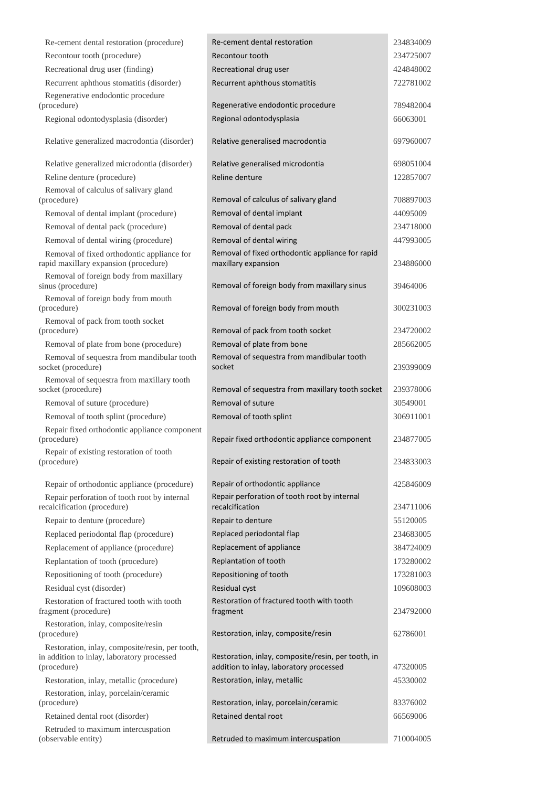| Re-cement dental restoration (procedure)                                                                     | Re-cement dental restoration                                                                  | 234834009 |
|--------------------------------------------------------------------------------------------------------------|-----------------------------------------------------------------------------------------------|-----------|
| Recontour tooth (procedure)                                                                                  | Recontour tooth                                                                               | 234725007 |
| Recreational drug user (finding)                                                                             | Recreational drug user                                                                        | 424848002 |
| Recurrent aphthous stomatitis (disorder)                                                                     | Recurrent aphthous stomatitis                                                                 | 722781002 |
| Regenerative endodontic procedure                                                                            |                                                                                               |           |
| (procedure)                                                                                                  | Regenerative endodontic procedure                                                             | 789482004 |
| Regional odontodysplasia (disorder)                                                                          | Regional odontodysplasia                                                                      | 66063001  |
| Relative generalized macrodontia (disorder)                                                                  | Relative generalised macrodontia                                                              | 697960007 |
| Relative generalized microdontia (disorder)                                                                  | Relative generalised microdontia                                                              | 698051004 |
| Reline denture (procedure)                                                                                   | Reline denture                                                                                | 122857007 |
| Removal of calculus of salivary gland                                                                        |                                                                                               |           |
| (procedure)                                                                                                  | Removal of calculus of salivary gland                                                         | 708897003 |
| Removal of dental implant (procedure)                                                                        | Removal of dental implant                                                                     | 44095009  |
| Removal of dental pack (procedure)                                                                           | Removal of dental pack                                                                        | 234718000 |
| Removal of dental wiring (procedure)                                                                         | Removal of dental wiring                                                                      | 447993005 |
| Removal of fixed orthodontic appliance for<br>rapid maxillary expansion (procedure)                          | Removal of fixed orthodontic appliance for rapid<br>maxillary expansion                       | 234886000 |
| Removal of foreign body from maxillary<br>sinus (procedure)                                                  | Removal of foreign body from maxillary sinus                                                  | 39464006  |
| Removal of foreign body from mouth<br>(procedure)                                                            | Removal of foreign body from mouth                                                            | 300231003 |
| Removal of pack from tooth socket<br>(procedure)                                                             | Removal of pack from tooth socket                                                             | 234720002 |
| Removal of plate from bone (procedure)                                                                       | Removal of plate from bone                                                                    | 285662005 |
| Removal of sequestra from mandibular tooth<br>socket (procedure)                                             | Removal of sequestra from mandibular tooth<br>socket                                          | 239399009 |
| Removal of sequestra from maxillary tooth                                                                    |                                                                                               |           |
| socket (procedure)                                                                                           | Removal of sequestra from maxillary tooth socket<br>Removal of suture                         | 239378006 |
| Removal of suture (procedure)                                                                                |                                                                                               | 30549001  |
| Removal of tooth splint (procedure)<br>Repair fixed orthodontic appliance component                          | Removal of tooth splint                                                                       | 306911001 |
| (procedure)                                                                                                  | Repair fixed orthodontic appliance component                                                  | 234877005 |
| Repair of existing restoration of tooth<br>(procedure)                                                       | Repair of existing restoration of tooth                                                       | 234833003 |
| Repair of orthodontic appliance (procedure)                                                                  | Repair of orthodontic appliance                                                               | 425846009 |
| Repair perforation of tooth root by internal<br>recalcification (procedure)                                  | Repair perforation of tooth root by internal<br>recalcification                               | 234711006 |
| Repair to denture (procedure)                                                                                | Repair to denture                                                                             | 55120005  |
| Replaced periodontal flap (procedure)                                                                        | Replaced periodontal flap                                                                     | 234683005 |
| Replacement of appliance (procedure)                                                                         | Replacement of appliance                                                                      | 384724009 |
| Replantation of tooth (procedure)                                                                            | Replantation of tooth                                                                         | 173280002 |
| Repositioning of tooth (procedure)                                                                           | Repositioning of tooth                                                                        | 173281003 |
|                                                                                                              |                                                                                               | 109608003 |
| Residual cyst (disorder)                                                                                     | Residual cyst<br>Restoration of fractured tooth with tooth                                    |           |
| Restoration of fractured tooth with tooth<br>fragment (procedure)                                            | fragment                                                                                      | 234792000 |
| Restoration, inlay, composite/resin<br>(procedure)                                                           | Restoration, inlay, composite/resin                                                           | 62786001  |
| Restoration, inlay, composite/resin, per tooth,<br>in addition to inlay, laboratory processed<br>(procedure) | Restoration, inlay, composite/resin, per tooth, in<br>addition to inlay, laboratory processed | 47320005  |
| Restoration, inlay, metallic (procedure)                                                                     | Restoration, inlay, metallic                                                                  | 45330002  |
| Restoration, inlay, porcelain/ceramic                                                                        |                                                                                               |           |
| (procedure)                                                                                                  | Restoration, inlay, porcelain/ceramic                                                         | 83376002  |
| Retained dental root (disorder)                                                                              | Retained dental root                                                                          | 66569006  |
| Retruded to maximum intercuspation<br>(observable entity)                                                    | Retruded to maximum intercuspation                                                            | 710004005 |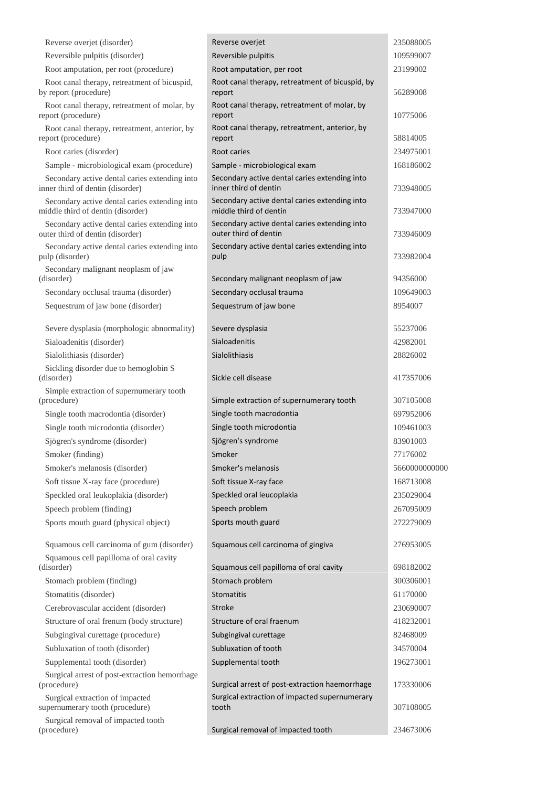| Reverse overjet (disorder)                                                          | Reverse overjet                                                         | 235088005     |
|-------------------------------------------------------------------------------------|-------------------------------------------------------------------------|---------------|
| Reversible pulpitis (disorder)                                                      | Reversible pulpitis                                                     | 109599007     |
| Root amputation, per root (procedure)                                               | Root amputation, per root                                               | 23199002      |
| Root canal therapy, retreatment of bicuspid,<br>by report (procedure)               | Root canal therapy, retreatment of bicuspid, by<br>report               | 56289008      |
| Root canal therapy, retreatment of molar, by<br>report (procedure)                  | Root canal therapy, retreatment of molar, by<br>report                  | 10775006      |
| Root canal therapy, retreatment, anterior, by<br>report (procedure)                 | Root canal therapy, retreatment, anterior, by<br>report                 | 58814005      |
| Root caries (disorder)                                                              | Root caries                                                             | 234975001     |
| Sample - microbiological exam (procedure)                                           | Sample - microbiological exam                                           | 168186002     |
| Secondary active dental caries extending into<br>inner third of dentin (disorder)   | Secondary active dental caries extending into<br>inner third of dentin  | 733948005     |
| Secondary active dental caries extending into<br>middle third of dentin (disorder)  | Secondary active dental caries extending into<br>middle third of dentin | 733947000     |
| Secondary active dental caries extending into<br>outer third of dentin (disorder)   | Secondary active dental caries extending into<br>outer third of dentin  | 733946009     |
| Secondary active dental caries extending into<br>pulp (disorder)                    | Secondary active dental caries extending into<br>pulp                   | 733982004     |
| Secondary malignant neoplasm of jaw<br>(disorder)                                   | Secondary malignant neoplasm of jaw                                     | 94356000      |
| Secondary occlusal trauma (disorder)                                                | Secondary occlusal trauma                                               | 109649003     |
| Sequestrum of jaw bone (disorder)                                                   | Sequestrum of jaw bone                                                  | 8954007       |
| Severe dysplasia (morphologic abnormality)                                          | Severe dysplasia                                                        | 55237006      |
| Sialoadenitis (disorder)                                                            | Sialoadenitis                                                           | 42982001      |
| Sialolithiasis (disorder)                                                           | Sialolithiasis                                                          | 28826002      |
| Sickling disorder due to hemoglobin S                                               |                                                                         |               |
| (disorder)                                                                          | Sickle cell disease                                                     | 417357006     |
| Simple extraction of supernumerary tooth<br>(procedure)                             | Simple extraction of supernumerary tooth                                | 307105008     |
| Single tooth macrodontia (disorder)                                                 | Single tooth macrodontia                                                | 697952006     |
| Single tooth microdontia (disorder)                                                 | Single tooth microdontia                                                | 109461003     |
| Sjögren's syndrome (disorder)                                                       | Sjögren's syndrome                                                      | 83901003      |
| Smoker (finding)                                                                    | Smoker                                                                  | 77176002      |
| Smoker's melanosis (disorder)                                                       | Smoker's melanosis                                                      | 5660000000000 |
| Soft tissue X-ray face (procedure)                                                  | Soft tissue X-ray face                                                  | 168713008     |
| Speckled oral leukoplakia (disorder)                                                | Speckled oral leucoplakia                                               | 235029004     |
| Speech problem (finding)                                                            | Speech problem                                                          | 267095009     |
| Sports mouth guard (physical object)                                                | Sports mouth guard                                                      | 272279009     |
| Squamous cell carcinoma of gum (disorder)<br>Squamous cell papilloma of oral cavity | Squamous cell carcinoma of gingiva                                      | 276953005     |
| (disorder)                                                                          | Squamous cell papilloma of oral cavity                                  | 698182002     |
| Stomach problem (finding)                                                           | Stomach problem                                                         | 300306001     |
| Stomatitis (disorder)                                                               | <b>Stomatitis</b>                                                       | 61170000      |
| Cerebrovascular accident (disorder)                                                 | <b>Stroke</b>                                                           | 230690007     |
| Structure of oral frenum (body structure)                                           | Structure of oral fraenum                                               | 418232001     |
| Subgingival curettage (procedure)                                                   | Subgingival curettage                                                   | 82468009      |
| Subluxation of tooth (disorder)                                                     | Subluxation of tooth                                                    | 34570004      |
| Supplemental tooth (disorder)                                                       | Supplemental tooth                                                      | 196273001     |
| Surgical arrest of post-extraction hemorrhage<br>(procedure)                        | Surgical arrest of post-extraction haemorrhage                          | 173330006     |
| Surgical extraction of impacted<br>supernumerary tooth (procedure)                  | Surgical extraction of impacted supernumerary<br>tooth                  | 307108005     |
| Surgical removal of impacted tooth<br>(procedure)                                   | Surgical removal of impacted tooth                                      | 234673006     |
|                                                                                     |                                                                         |               |

÷

۰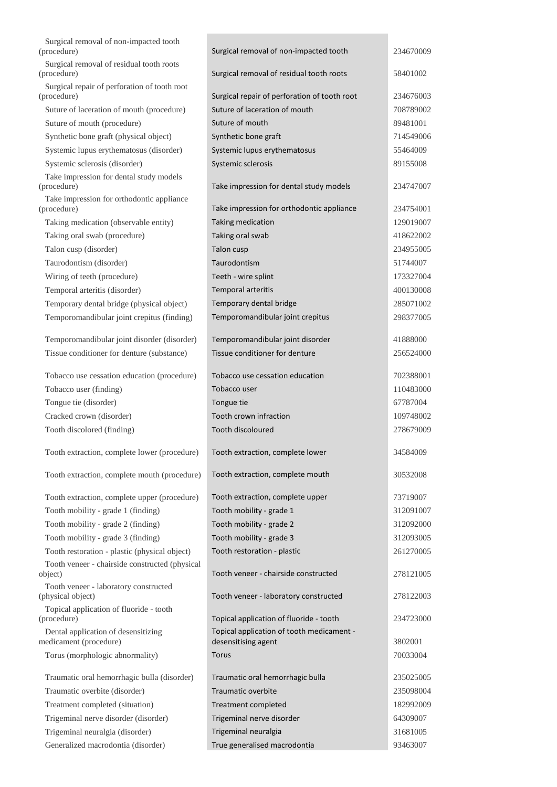| Surgical removal of non-impacted tooth<br>(procedure)         | Surgical removal of non-impacted tooth                           | 234670009 |
|---------------------------------------------------------------|------------------------------------------------------------------|-----------|
| Surgical removal of residual tooth roots                      |                                                                  |           |
| (procedure)<br>Surgical repair of perforation of tooth root   | Surgical removal of residual tooth roots                         | 58401002  |
| (procedure)                                                   | Surgical repair of perforation of tooth root                     | 234676003 |
| Suture of laceration of mouth (procedure)                     | Suture of laceration of mouth                                    | 708789002 |
| Suture of mouth (procedure)                                   | Suture of mouth                                                  | 89481001  |
| Synthetic bone graft (physical object)                        | Synthetic bone graft                                             | 714549006 |
| Systemic lupus erythematosus (disorder)                       | Systemic lupus erythematosus                                     | 55464009  |
| Systemic sclerosis (disorder)                                 | Systemic sclerosis                                               | 89155008  |
| Take impression for dental study models<br>(procedure)        | Take impression for dental study models                          | 234747007 |
| Take impression for orthodontic appliance<br>(procedure)      | Take impression for orthodontic appliance                        | 234754001 |
| Taking medication (observable entity)                         | Taking medication                                                | 129019007 |
| Taking oral swab (procedure)                                  | Taking oral swab                                                 | 418622002 |
| Talon cusp (disorder)                                         | Talon cusp                                                       | 234955005 |
| Taurodontism (disorder)                                       | Taurodontism                                                     | 51744007  |
| Wiring of teeth (procedure)                                   | Teeth - wire splint                                              | 173327004 |
| Temporal arteritis (disorder)                                 | Temporal arteritis                                               | 400130008 |
| Temporary dental bridge (physical object)                     | Temporary dental bridge                                          | 285071002 |
| Temporomandibular joint crepitus (finding)                    | Temporomandibular joint crepitus                                 | 298377005 |
| Temporomandibular joint disorder (disorder)                   | Temporomandibular joint disorder                                 | 41888000  |
| Tissue conditioner for denture (substance)                    | Tissue conditioner for denture                                   | 256524000 |
| Tobacco use cessation education (procedure)                   | Tobacco use cessation education                                  | 702388001 |
| Tobacco user (finding)                                        | Tobacco user                                                     | 110483000 |
| Tongue tie (disorder)                                         | Tongue tie                                                       | 67787004  |
| Cracked crown (disorder)                                      | Tooth crown infraction                                           | 109748002 |
| Tooth discolored (finding)                                    | Tooth discoloured                                                | 278679009 |
| Tooth extraction, complete lower (procedure)                  | Tooth extraction, complete lower                                 | 34584009  |
| Tooth extraction, complete mouth (procedure)                  | Tooth extraction, complete mouth                                 | 30532008  |
| Tooth extraction, complete upper (procedure)                  | Tooth extraction, complete upper                                 | 73719007  |
| Tooth mobility - grade 1 (finding)                            | Tooth mobility - grade 1                                         | 312091007 |
| Tooth mobility - grade 2 (finding)                            | Tooth mobility - grade 2                                         | 312092000 |
| Tooth mobility - grade 3 (finding)                            | Tooth mobility - grade 3                                         | 312093005 |
| Tooth restoration - plastic (physical object)                 | Tooth restoration - plastic                                      | 261270005 |
| Tooth veneer - chairside constructed (physical<br>object)     | Tooth veneer - chairside constructed                             | 278121005 |
| Tooth veneer - laboratory constructed<br>(physical object)    | Tooth veneer - laboratory constructed                            | 278122003 |
| Topical application of fluoride - tooth<br>(procedure)        | Topical application of fluoride - tooth                          | 234723000 |
| Dental application of desensitizing<br>medicament (procedure) | Topical application of tooth medicament -<br>desensitising agent | 3802001   |
| Torus (morphologic abnormality)                               | Torus                                                            | 70033004  |
| Traumatic oral hemorrhagic bulla (disorder)                   | Traumatic oral hemorrhagic bulla                                 | 235025005 |
| Traumatic overbite (disorder)                                 | Traumatic overbite                                               | 235098004 |
| Treatment completed (situation)                               | Treatment completed                                              | 182992009 |
| Trigeminal nerve disorder (disorder)                          | Trigeminal nerve disorder                                        | 64309007  |
| Trigeminal neuralgia (disorder)                               | Trigeminal neuralgia                                             | 31681005  |
| Generalized macrodontia (disorder)                            | True generalised macrodontia                                     | 93463007  |